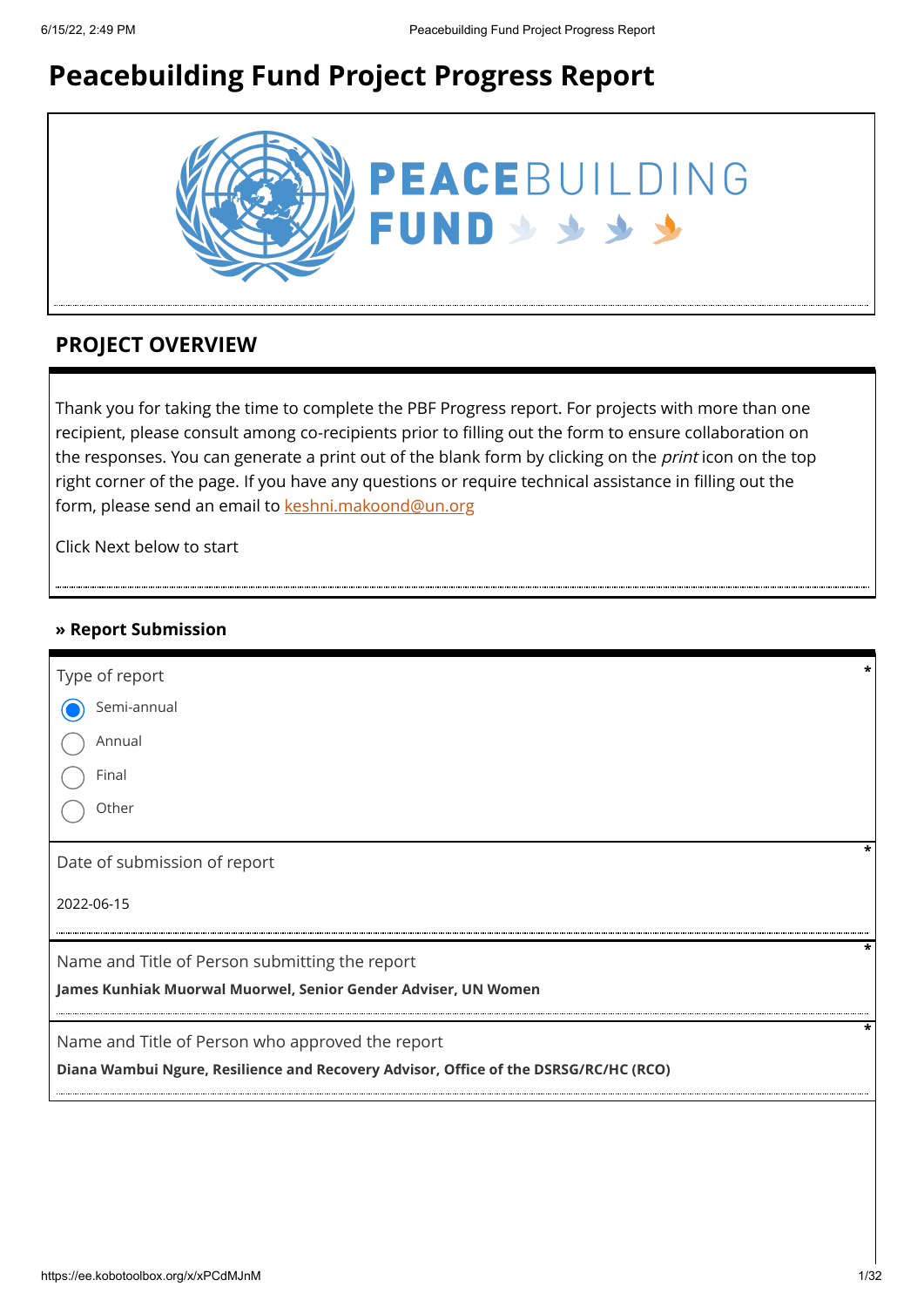# **Peacebuilding Fund Project Progress Report**



## **PROJECT OVERVIEW**

Thank you for taking the time to complete the PBF Progress report. For projects with more than one recipient, please consult among co-recipients prior to filling out the form to ensure collaboration on the responses. You can generate a print out of the blank form by clicking on the *print* icon on the top right corner of the page. If you have any questions or require technical assistance in filling out the form, please send an email to [keshni.makoond@un.org](https://ee.kobotoolbox.org/x/keshni.makoond@un.org)

Click Next below to start

#### **» Report Submission**

| Type of report                                                                       | * |
|--------------------------------------------------------------------------------------|---|
| Semi-annual                                                                          |   |
| Annual                                                                               |   |
| Final                                                                                |   |
| Other                                                                                |   |
| Date of submission of report                                                         |   |
| 2022-06-15                                                                           |   |
| Name and Title of Person submitting the report                                       | * |
| James Kunhiak Muorwal Muorwel, Senior Gender Adviser, UN Women                       |   |
| Name and Title of Person who approved the report                                     | * |
| Diana Wambui Ngure, Resilience and Recovery Advisor, Office of the DSRSG/RC/HC (RCO) |   |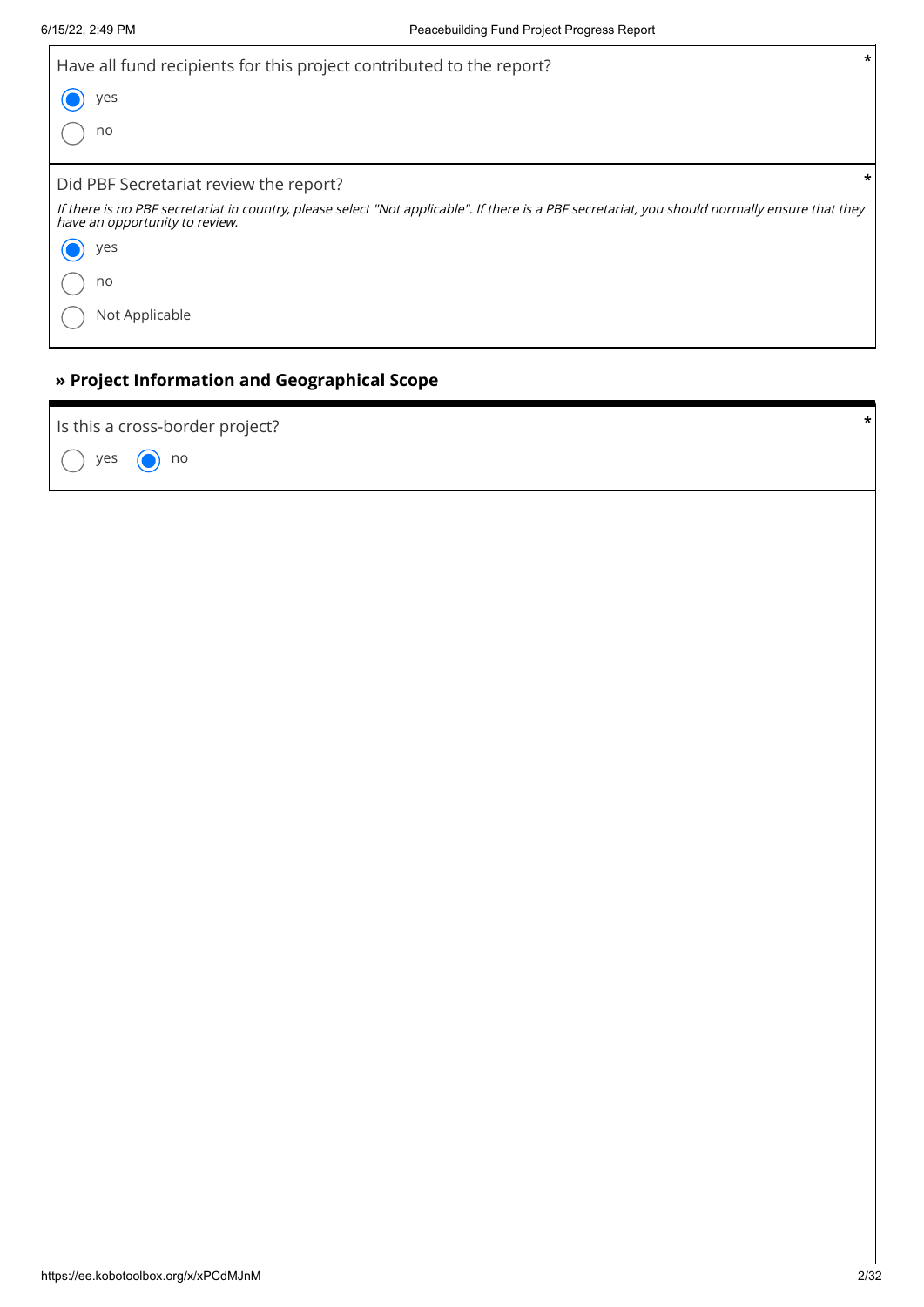$\overline{1}$ 

| Have all fund recipients for this project contributed to the report?                                                                                                             | * |
|----------------------------------------------------------------------------------------------------------------------------------------------------------------------------------|---|
| yes                                                                                                                                                                              |   |
| no                                                                                                                                                                               |   |
|                                                                                                                                                                                  |   |
| Did PBF Secretariat review the report?                                                                                                                                           | * |
| If there is no PBF secretariat in country, please select "Not applicable". If there is a PBF secretariat, you should normally ensure that they<br>have an opportunity to review. |   |
| yes                                                                                                                                                                              |   |
| no                                                                                                                                                                               |   |
| Not Applicable                                                                                                                                                                   |   |
|                                                                                                                                                                                  |   |

#### **» Project Information and Geographical Scope**

yes  $\bigcirc$  no Is this a cross-border project? **\***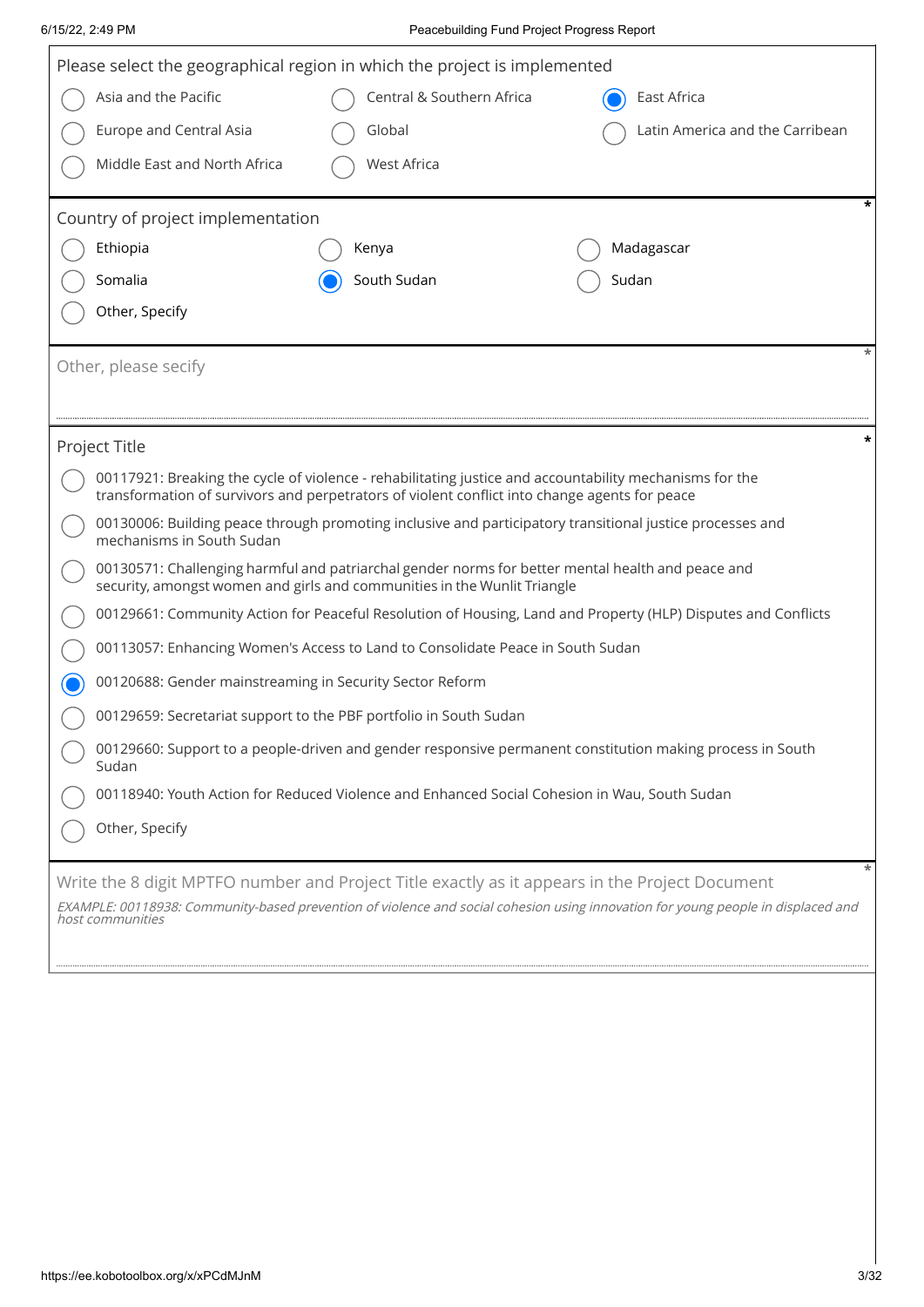|                                                                                                                                                                               | Please select the geographical region in which the project is implemented                                                                                                                                |                                                                                                                                  |  |  |  |  |
|-------------------------------------------------------------------------------------------------------------------------------------------------------------------------------|----------------------------------------------------------------------------------------------------------------------------------------------------------------------------------------------------------|----------------------------------------------------------------------------------------------------------------------------------|--|--|--|--|
| Asia and the Pacific                                                                                                                                                          | Central & Southern Africa                                                                                                                                                                                | East Africa                                                                                                                      |  |  |  |  |
| Europe and Central Asia                                                                                                                                                       | Global                                                                                                                                                                                                   | Latin America and the Carribean                                                                                                  |  |  |  |  |
| Middle East and North Africa                                                                                                                                                  | West Africa                                                                                                                                                                                              |                                                                                                                                  |  |  |  |  |
| Country of project implementation                                                                                                                                             |                                                                                                                                                                                                          | *                                                                                                                                |  |  |  |  |
| Ethiopia                                                                                                                                                                      | Kenya                                                                                                                                                                                                    | Madagascar                                                                                                                       |  |  |  |  |
| Somalia                                                                                                                                                                       | South Sudan                                                                                                                                                                                              | Sudan                                                                                                                            |  |  |  |  |
| Other, Specify                                                                                                                                                                |                                                                                                                                                                                                          |                                                                                                                                  |  |  |  |  |
| Other, please secify                                                                                                                                                          |                                                                                                                                                                                                          | ÷                                                                                                                                |  |  |  |  |
|                                                                                                                                                                               |                                                                                                                                                                                                          |                                                                                                                                  |  |  |  |  |
| Project Title                                                                                                                                                                 |                                                                                                                                                                                                          | *                                                                                                                                |  |  |  |  |
|                                                                                                                                                                               | 00117921: Breaking the cycle of violence - rehabilitating justice and accountability mechanisms for the<br>transformation of survivors and perpetrators of violent conflict into change agents for peace |                                                                                                                                  |  |  |  |  |
| 00130006: Building peace through promoting inclusive and participatory transitional justice processes and<br>mechanisms in South Sudan                                        |                                                                                                                                                                                                          |                                                                                                                                  |  |  |  |  |
| 00130571: Challenging harmful and patriarchal gender norms for better mental health and peace and<br>security, amongst women and girls and communities in the Wunlit Triangle |                                                                                                                                                                                                          |                                                                                                                                  |  |  |  |  |
| 00129661: Community Action for Peaceful Resolution of Housing, Land and Property (HLP) Disputes and Conflicts                                                                 |                                                                                                                                                                                                          |                                                                                                                                  |  |  |  |  |
| 00113057: Enhancing Women's Access to Land to Consolidate Peace in South Sudan                                                                                                |                                                                                                                                                                                                          |                                                                                                                                  |  |  |  |  |
| 00120688: Gender mainstreaming in Security Sector Reform                                                                                                                      |                                                                                                                                                                                                          |                                                                                                                                  |  |  |  |  |
| 00129659: Secretariat support to the PBF portfolio in South Sudan                                                                                                             |                                                                                                                                                                                                          |                                                                                                                                  |  |  |  |  |
| 00129660: Support to a people-driven and gender responsive permanent constitution making process in South<br>Sudan                                                            |                                                                                                                                                                                                          |                                                                                                                                  |  |  |  |  |
| 00118940: Youth Action for Reduced Violence and Enhanced Social Cohesion in Wau, South Sudan                                                                                  |                                                                                                                                                                                                          |                                                                                                                                  |  |  |  |  |
| Other, Specify                                                                                                                                                                |                                                                                                                                                                                                          |                                                                                                                                  |  |  |  |  |
|                                                                                                                                                                               | Write the 8 digit MPTFO number and Project Title exactly as it appears in the Project Document                                                                                                           | *                                                                                                                                |  |  |  |  |
| host communities                                                                                                                                                              |                                                                                                                                                                                                          | EXAMPLE: 00118938: Community-based prevention of violence and social cohesion using innovation for young people in displaced and |  |  |  |  |
|                                                                                                                                                                               |                                                                                                                                                                                                          |                                                                                                                                  |  |  |  |  |
|                                                                                                                                                                               |                                                                                                                                                                                                          |                                                                                                                                  |  |  |  |  |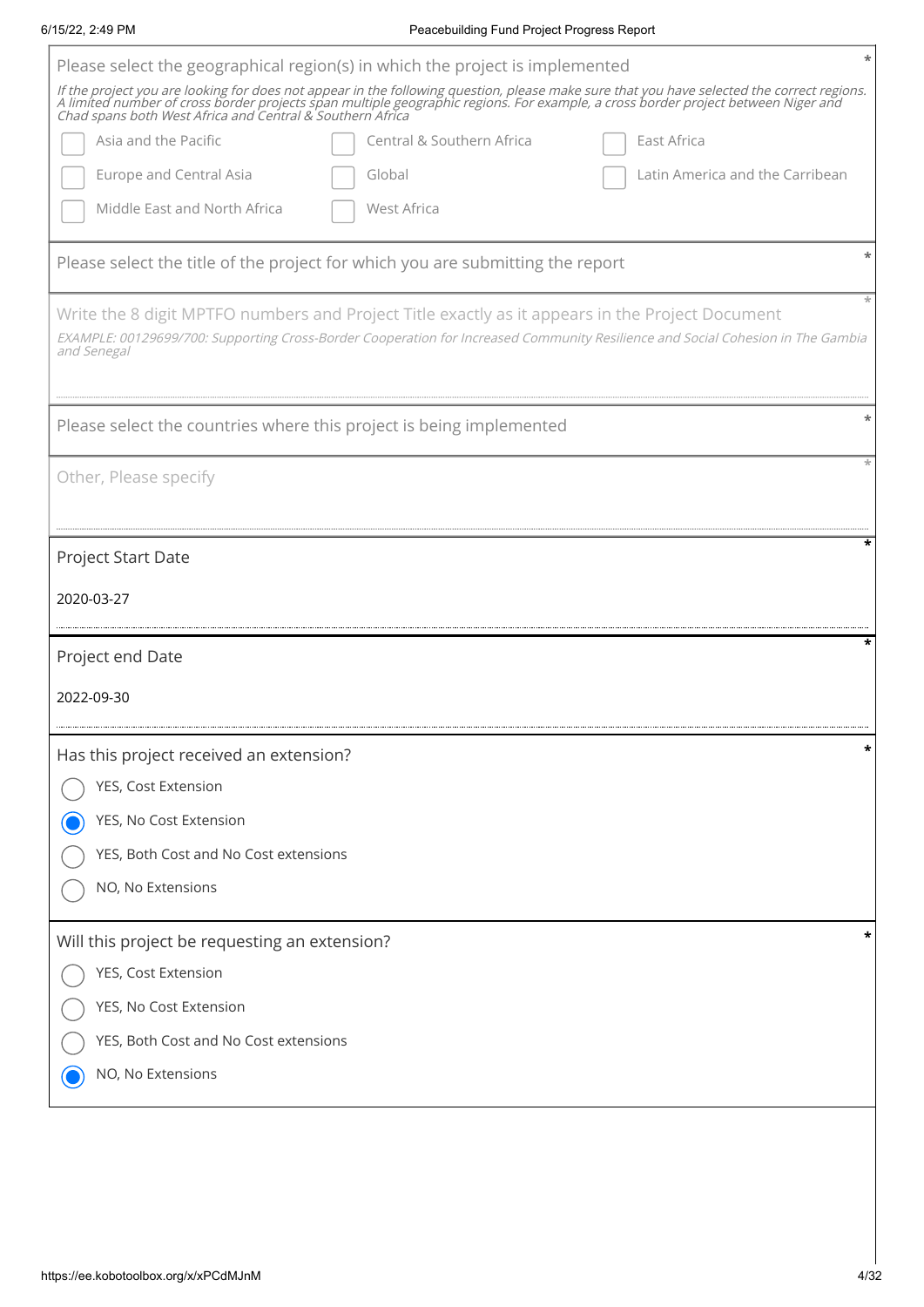| Please select the geographical region(s) in which the project is implemented<br>If the project you are looking for does not appear in the following question, please make sure that you have selected the correct regions.<br>A limited number of cross border projects span multiple geographic regions. For exa |        |
|-------------------------------------------------------------------------------------------------------------------------------------------------------------------------------------------------------------------------------------------------------------------------------------------------------------------|--------|
|                                                                                                                                                                                                                                                                                                                   |        |
|                                                                                                                                                                                                                                                                                                                   |        |
| Asia and the Pacific<br>Central & Southern Africa<br>East Africa                                                                                                                                                                                                                                                  |        |
| Europe and Central Asia<br>Latin America and the Carribean<br>Global                                                                                                                                                                                                                                              |        |
| Middle East and North Africa<br>West Africa                                                                                                                                                                                                                                                                       |        |
| Please select the title of the project for which you are submitting the report                                                                                                                                                                                                                                    |        |
| Write the 8 digit MPTFO numbers and Project Title exactly as it appears in the Project Document<br>EXAMPLE: 00129699/700: Supporting Cross-Border Cooperation for Increased Community Resilience and Social Cohesion in The Gambia<br>and Senegal                                                                 |        |
| Please select the countries where this project is being implemented                                                                                                                                                                                                                                               |        |
| Other, Please specify                                                                                                                                                                                                                                                                                             |        |
| Project Start Date                                                                                                                                                                                                                                                                                                |        |
| 2020-03-27                                                                                                                                                                                                                                                                                                        |        |
| Project end Date                                                                                                                                                                                                                                                                                                  |        |
| 2022-09-30                                                                                                                                                                                                                                                                                                        |        |
| Has this project received an extension?                                                                                                                                                                                                                                                                           | $\ast$ |
| YES, Cost Extension                                                                                                                                                                                                                                                                                               |        |
| YES, No Cost Extension                                                                                                                                                                                                                                                                                            |        |
| YES, Both Cost and No Cost extensions                                                                                                                                                                                                                                                                             |        |
| NO, No Extensions                                                                                                                                                                                                                                                                                                 |        |
| Will this project be requesting an extension?                                                                                                                                                                                                                                                                     |        |
| YES, Cost Extension                                                                                                                                                                                                                                                                                               |        |
| YES, No Cost Extension                                                                                                                                                                                                                                                                                            |        |
|                                                                                                                                                                                                                                                                                                                   |        |
| YES, Both Cost and No Cost extensions                                                                                                                                                                                                                                                                             |        |

6/15/22, 2:49 PM Peacebuilding Fund Project Progress Report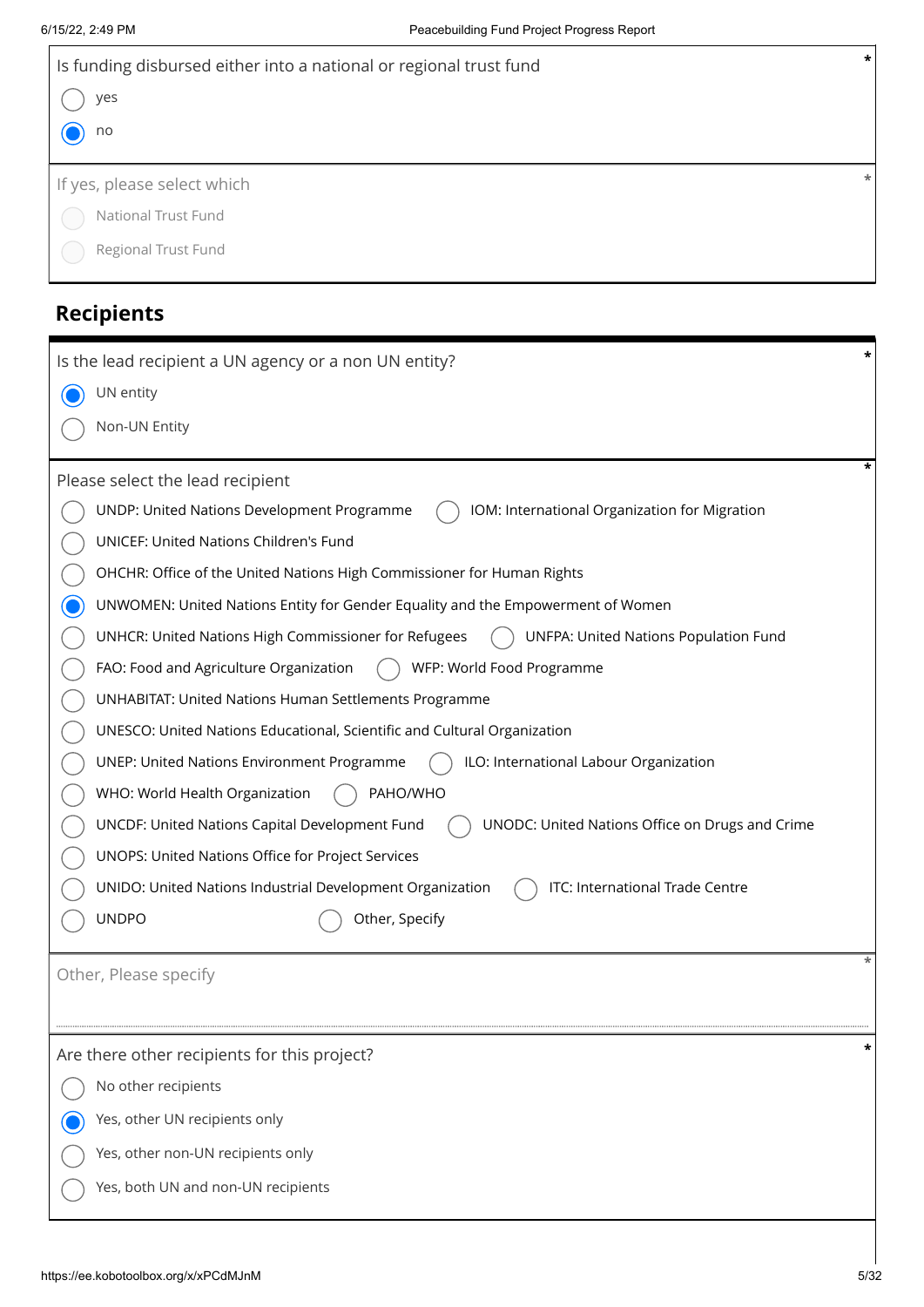| 6/15/22, 2:49 PM                                      | Peacebuilding Fund Project Progress Report                                                    |
|-------------------------------------------------------|-----------------------------------------------------------------------------------------------|
|                                                       | Is funding disbursed either into a national or regional trust fund                            |
| yes                                                   |                                                                                               |
| no                                                    |                                                                                               |
| If yes, please select which                           |                                                                                               |
| National Trust Fund                                   |                                                                                               |
| Regional Trust Fund                                   |                                                                                               |
| <b>Recipients</b>                                     |                                                                                               |
| Is the lead recipient a UN agency or a non UN entity? |                                                                                               |
| UN entity                                             |                                                                                               |
| Non-UN Entity                                         |                                                                                               |
| Please select the lead recipient                      |                                                                                               |
| UNDP: United Nations Development Programme            | IOM: International Organization for Migration                                                 |
| UNICEF: United Nations Children's Fund                |                                                                                               |
|                                                       | OHCHR: Office of the United Nations High Commissioner for Human Rights                        |
|                                                       | UNWOMEN: United Nations Entity for Gender Equality and the Empowerment of Women               |
|                                                       | UNFPA: United Nations Population Fund<br>UNHCR: United Nations High Commissioner for Refugees |
| FAO: Food and Agriculture Organization                | WFP: World Food Programme                                                                     |
|                                                       | <b>UNHABITAT: United Nations Human Settlements Programme</b>                                  |
|                                                       | UNESCO: United Nations Educational, Scientific and Cultural Organization                      |
| <b>UNEP: United Nations Environment Programme</b>     | ILO: International Labour Organization                                                        |
| WHO: World Health Organization                        | PAHO/WHO                                                                                      |
| UNCDF: United Nations Capital Development Fund        | UNODC: United Nations Office on Drugs and Crime                                               |
| UNOPS: United Nations Office for Project Services     |                                                                                               |
|                                                       | UNIDO: United Nations Industrial Development Organization<br>ITC: International Trade Centre  |
| <b>UNDPO</b>                                          | Other, Specify                                                                                |
| Other, Please specify                                 |                                                                                               |
|                                                       |                                                                                               |
| Are there other recipients for this project?          |                                                                                               |
| No other recipients                                   |                                                                                               |
| Yes, other UN recipients only                         |                                                                                               |

Yes, other non-UN recipients only

Yes, both UN and non-UN recipients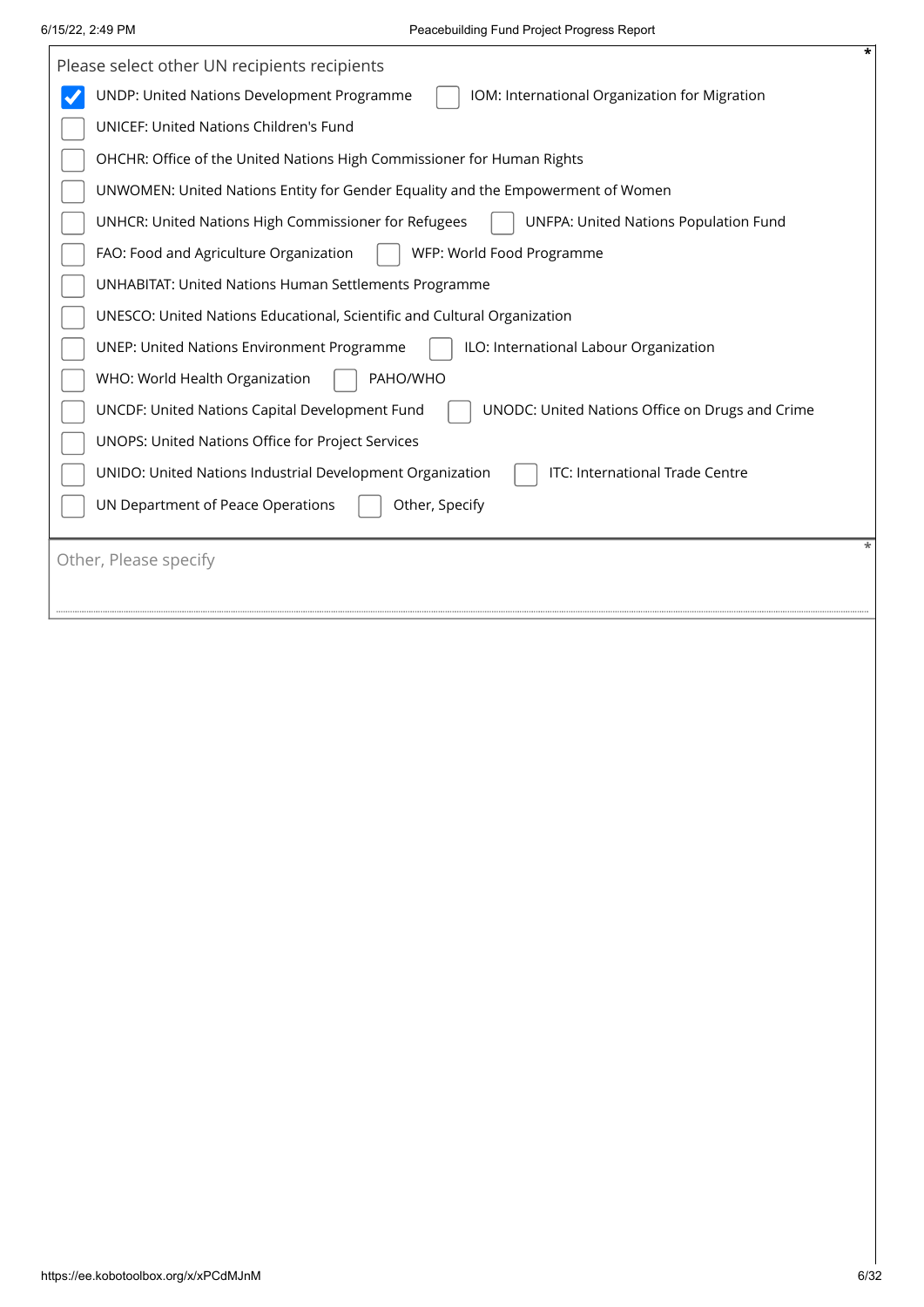| Please select other UN recipients recipients                                                         | * |
|------------------------------------------------------------------------------------------------------|---|
| UNDP: United Nations Development Programme<br>IOM: International Organization for Migration          |   |
| UNICEF: United Nations Children's Fund                                                               |   |
| OHCHR: Office of the United Nations High Commissioner for Human Rights                               |   |
| UNWOMEN: United Nations Entity for Gender Equality and the Empowerment of Women                      |   |
| UNHCR: United Nations High Commissioner for Refugees<br><b>UNFPA: United Nations Population Fund</b> |   |
| FAO: Food and Agriculture Organization<br>WFP: World Food Programme                                  |   |
| <b>UNHABITAT: United Nations Human Settlements Programme</b>                                         |   |
| UNESCO: United Nations Educational, Scientific and Cultural Organization                             |   |
| ILO: International Labour Organization<br><b>UNEP: United Nations Environment Programme</b>          |   |
| WHO: World Health Organization<br>PAHO/WHO                                                           |   |
| UNCDF: United Nations Capital Development Fund<br>UNODC: United Nations Office on Drugs and Crime    |   |
| UNOPS: United Nations Office for Project Services                                                    |   |
| ITC: International Trade Centre<br>UNIDO: United Nations Industrial Development Organization         |   |
| UN Department of Peace Operations<br>Other, Specify                                                  |   |
| Other, Please specify                                                                                | * |
|                                                                                                      |   |
|                                                                                                      |   |
|                                                                                                      |   |
|                                                                                                      |   |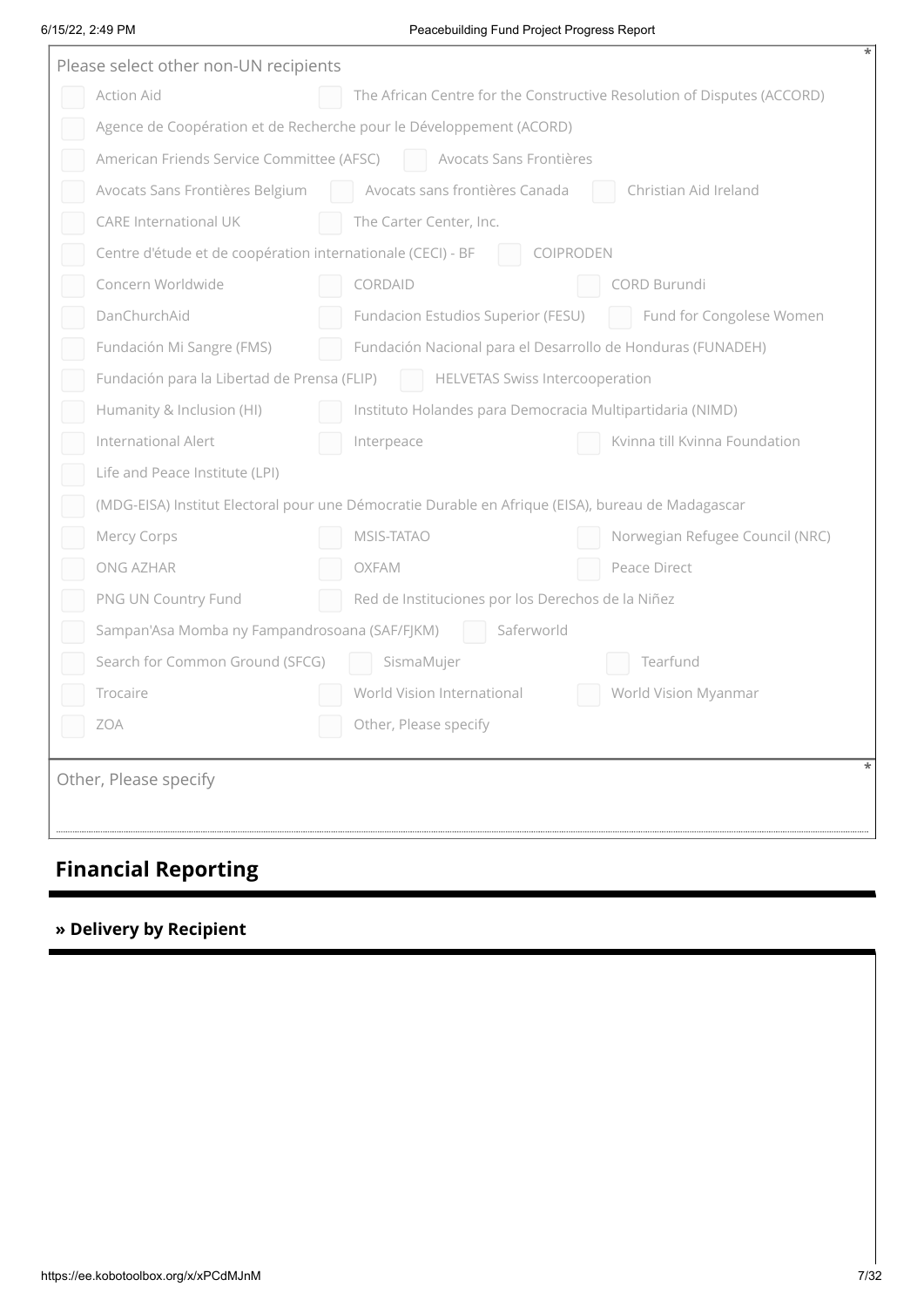#### 6/15/22, 2:49 PM Peacebuilding Fund Project Progress Report

|                            | Please select other non-UN recipients                       |                                                                                                   |  |  |  |
|----------------------------|-------------------------------------------------------------|---------------------------------------------------------------------------------------------------|--|--|--|
|                            | Action Aid                                                  | The African Centre for the Constructive Resolution of Disputes (ACCORD)                           |  |  |  |
|                            |                                                             | Agence de Coopération et de Recherche pour le Développement (ACORD)                               |  |  |  |
|                            | American Friends Service Committee (AFSC)                   | Avocats Sans Frontières                                                                           |  |  |  |
|                            | Avocats Sans Frontières Belgium                             | Avocats sans frontières Canada<br>Christian Aid Ireland                                           |  |  |  |
|                            | <b>CARE International UK</b>                                | The Carter Center, Inc.                                                                           |  |  |  |
|                            | Centre d'étude et de coopération internationale (CECI) - BF | COIPRODEN                                                                                         |  |  |  |
|                            | Concern Worldwide                                           | CORDAID<br>CORD Burundi                                                                           |  |  |  |
|                            | DanChurchAid                                                | Fundacion Estudios Superior (FESU)<br>Fund for Congolese Women                                    |  |  |  |
|                            | Fundación Mi Sangre (FMS)                                   | Fundación Nacional para el Desarrollo de Honduras (FUNADEH)                                       |  |  |  |
|                            | Fundación para la Libertad de Prensa (FLIP)                 | <b>HELVETAS Swiss Intercooperation</b>                                                            |  |  |  |
|                            | Humanity & Inclusion (HI)                                   | Instituto Holandes para Democracia Multipartidaria (NIMD)                                         |  |  |  |
|                            | International Alert                                         | Kvinna till Kvinna Foundation<br>Interpeace                                                       |  |  |  |
|                            | Life and Peace Institute (LPI)                              |                                                                                                   |  |  |  |
|                            |                                                             | (MDG-EISA) Institut Electoral pour une Démocratie Durable en Afrique (EISA), bureau de Madagascar |  |  |  |
|                            | Mercy Corps                                                 | MSIS-TATAO<br>Norwegian Refugee Council (NRC)                                                     |  |  |  |
|                            | ONG AZHAR                                                   | OXFAM<br>Peace Direct                                                                             |  |  |  |
|                            | PNG UN Country Fund                                         | Red de Instituciones por los Derechos de la Niñez                                                 |  |  |  |
|                            | Sampan'Asa Momba ny Fampandrosoana (SAF/FJKM)<br>Saferworld |                                                                                                   |  |  |  |
|                            | Search for Common Ground (SFCG)                             | Tearfund<br>SismaMujer                                                                            |  |  |  |
|                            | Trocaire                                                    | World Vision Myanmar<br>World Vision International                                                |  |  |  |
|                            | <b>ZOA</b>                                                  | Other, Please specify                                                                             |  |  |  |
| ×<br>Other, Please specify |                                                             |                                                                                                   |  |  |  |

## **Financial Reporting**

## **» Delivery by Recipient**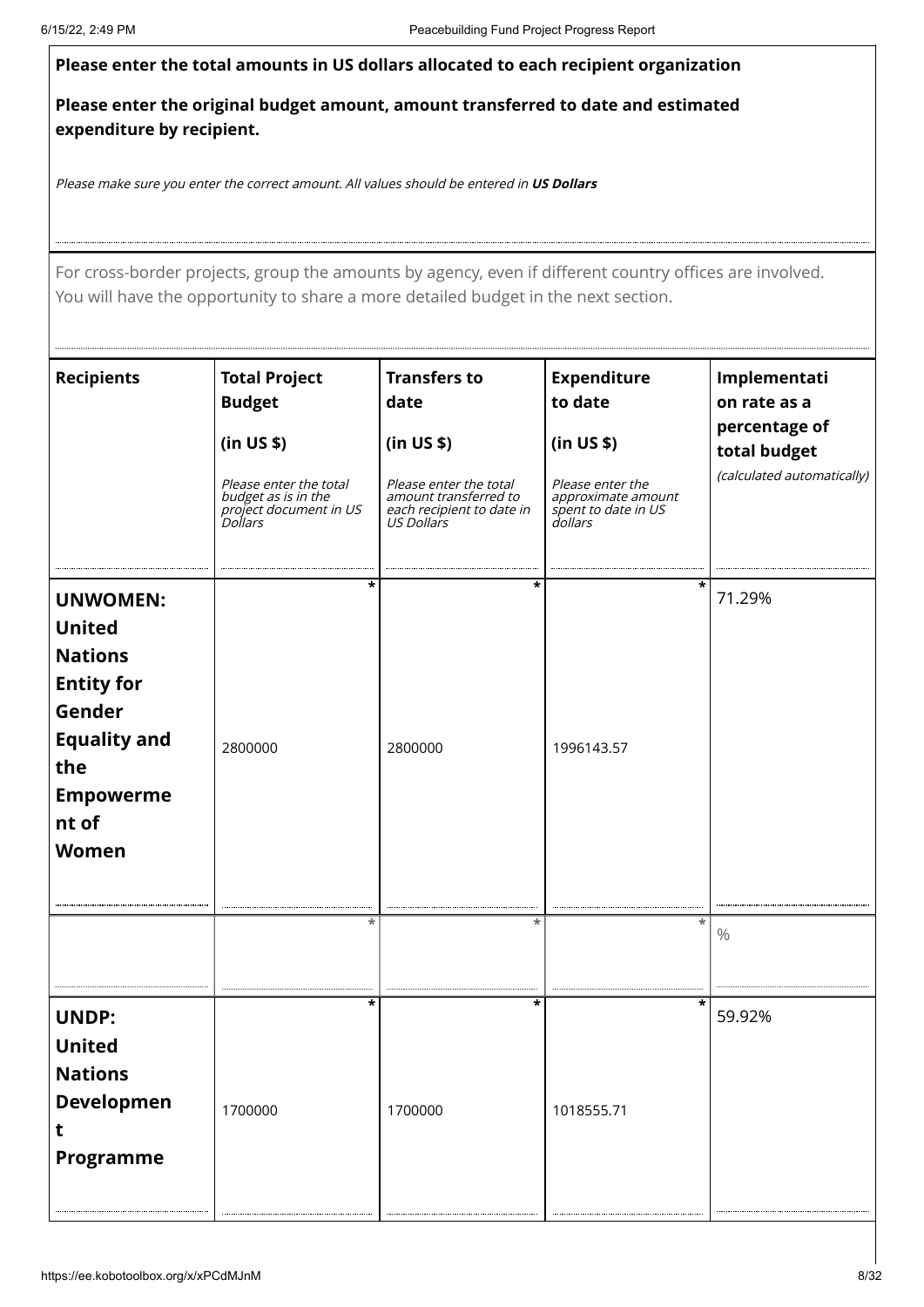| 19722, 2.79110<br><b>1 Caccbullully Fully Fighted Frogress Report</b>                                                                                                                                                                                                                                                                                                                                                         |                                                                                                     |
|-------------------------------------------------------------------------------------------------------------------------------------------------------------------------------------------------------------------------------------------------------------------------------------------------------------------------------------------------------------------------------------------------------------------------------|-----------------------------------------------------------------------------------------------------|
| Please enter the total amounts in US dollars allocated to each recipient organization                                                                                                                                                                                                                                                                                                                                         |                                                                                                     |
| Please enter the original budget amount, amount transferred to date and estimated<br>$\mid$ expenditure by recipient.                                                                                                                                                                                                                                                                                                         |                                                                                                     |
| Please make sure you enter the correct amount. All values should be entered in US Dollars                                                                                                                                                                                                                                                                                                                                     |                                                                                                     |
| For cross-border projects, group the amounts by agency, even if different country offices are involved.<br>You will have the opportunity to share a more detailed budget in the next section.                                                                                                                                                                                                                                 |                                                                                                     |
| Recipients<br><b>Total Project</b><br>Expenditure<br><b>Transfers to</b><br><b>Budget</b><br>to date<br>date<br>(in US \$)<br>(in US \$)<br>(in US \$)<br>Please enter the total<br>Please enter the total<br>amount transferred to<br>each recipient to date in<br>US Dollars<br>Please enter the<br>budget as is in the<br>project document in US<br>pollars<br><i>approximate amount</i><br>spent to date in US<br>dollars | $\vert$ Implementati<br>on rate as a<br>percentage of<br>total budget<br>(calculated automatically) |
| <b>UNWOMEN:</b><br><b>United</b><br><b>Nations</b><br><b>Entity for</b><br>Gender<br>Equality and<br>2800000<br>1996143.57<br>2800000<br>the<br><b>Empowerme</b><br>nt of<br>Women                                                                                                                                                                                                                                            | 71.29%                                                                                              |
|                                                                                                                                                                                                                                                                                                                                                                                                                               |                                                                                                     |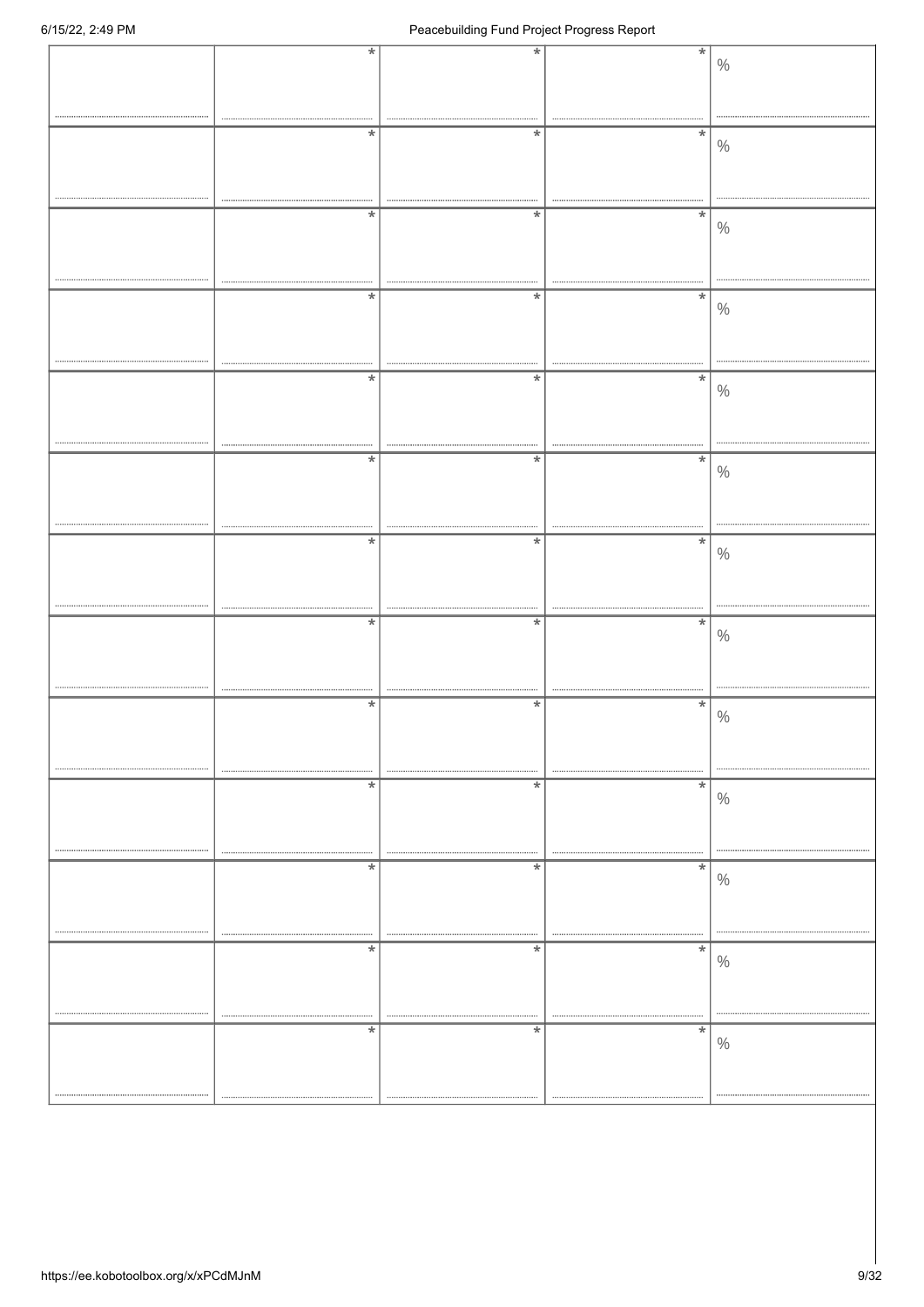|                                       | *                                                                        | *                                     | $\ast$                                                      | $\%$                   |
|---------------------------------------|--------------------------------------------------------------------------|---------------------------------------|-------------------------------------------------------------|------------------------|
| ,,,,,,,,,,,,,,,,,,,,,,,,,,,,,         | --------                                                                 | ,,,,,,,                               |                                                             |                        |
|                                       | $\ast$                                                                   | $^\star$                              | $\ast$                                                      | $\%$                   |
|                                       |                                                                          |                                       |                                                             |                        |
|                                       | $\ast$                                                                   | $\star$                               | $\star$                                                     | $\%$                   |
|                                       |                                                                          |                                       |                                                             |                        |
|                                       | $\star$                                                                  | $\ast$                                | $\ast$                                                      | $\%$                   |
|                                       |                                                                          |                                       |                                                             |                        |
| ,,,,,,,,,,,,,,,,,,,,,,                | $\ast$                                                                   | $^\star$                              | $\ast$                                                      | --------------<br>$\%$ |
|                                       |                                                                          |                                       |                                                             |                        |
|                                       | -------------------<br>$\ast$                                            | ,,,,,,,,<br>---------<br>$\ast$       | ,,,,,,,,,,,,,,,,,<br><br>$\star$                            | $\%$                   |
|                                       |                                                                          |                                       |                                                             |                        |
|                                       | $\ast$                                                                   | $^\star$                              | $\ast$                                                      | $\%$                   |
|                                       |                                                                          |                                       |                                                             |                        |
|                                       | -------------------------<br><br>$\ast$                                  | --------------------<br>.<br>$^\star$ | --------------------<br>,,,,,,,,,,,,,,,,,,,,,,,,,<br>$\ast$ |                        |
|                                       |                                                                          |                                       |                                                             | $\%$                   |
|                                       | $\ast$                                                                   | $^\star$                              | $^\ast$                                                     |                        |
|                                       |                                                                          |                                       |                                                             | $\%$                   |
|                                       | --------------------------<br><br>$\ast$                                 | <br>--------------<br>$^\star$        | <br><br>$\ast$                                              |                        |
|                                       |                                                                          |                                       |                                                             | $\%$                   |
|                                       | $\star$                                                                  | $\ast$                                | $\ast$                                                      |                        |
|                                       |                                                                          |                                       |                                                             | $\%$                   |
| <br>                                  | *                                                                        | *                                     | $\star$                                                     |                        |
|                                       |                                                                          |                                       |                                                             | $\%$                   |
|                                       | $\ast$                                                                   | $\ast$                                | $\ast$                                                      | --------               |
|                                       |                                                                          |                                       |                                                             | $\%$                   |
|                                       | ----------------------------------<br>,,,,,,,,,,,,,,,,,,,,,,,,,,,,,,,,,, |                                       |                                                             |                        |
|                                       |                                                                          |                                       |                                                             |                        |
|                                       |                                                                          |                                       |                                                             |                        |
|                                       |                                                                          |                                       |                                                             |                        |
|                                       |                                                                          |                                       |                                                             |                        |
| https://ee.kobotoolbox.org/x/xPCdMJnM |                                                                          |                                       |                                                             | 9/32                   |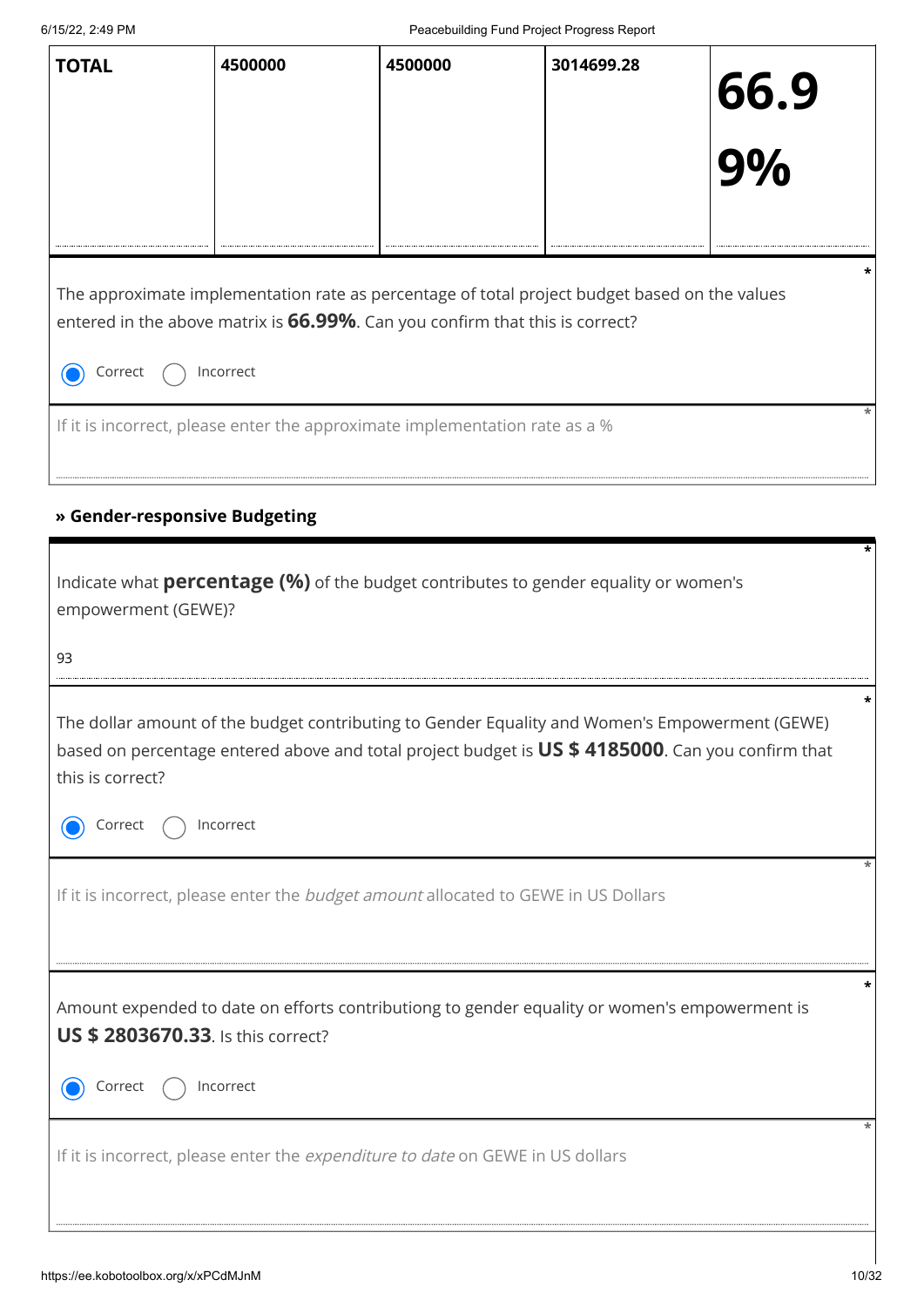| <b>TOTAL</b>                                                                                                                                                                                          | 4500000                                                                     | 4500000 | 3014699.28 | 66.9 |
|-------------------------------------------------------------------------------------------------------------------------------------------------------------------------------------------------------|-----------------------------------------------------------------------------|---------|------------|------|
|                                                                                                                                                                                                       |                                                                             |         |            | 9%   |
| The approximate implementation rate as percentage of total project budget based on the values<br>entered in the above matrix is 66.99%. Can you confirm that this is correct?<br>Incorrect<br>Correct |                                                                             |         |            |      |
|                                                                                                                                                                                                       | If it is incorrect, please enter the approximate implementation rate as a % |         |            |      |

## **» Gender-responsive Budgeting**

| Indicate what <b>percentage (%)</b> of the budget contributes to gender equality or women's<br>empowerment (GEWE)?<br>93                                                                                                                        |  |
|-------------------------------------------------------------------------------------------------------------------------------------------------------------------------------------------------------------------------------------------------|--|
| The dollar amount of the budget contributing to Gender Equality and Women's Empowerment (GEWE)<br>based on percentage entered above and total project budget is US \$ 4185000. Can you confirm that<br>this is correct?<br>Correct<br>Incorrect |  |
| If it is incorrect, please enter the budget amount allocated to GEWE in US Dollars                                                                                                                                                              |  |
| Amount expended to date on efforts contributiong to gender equality or women's empowerment is<br><b>US \$ 2803670.33.</b> Is this correct?<br>Correct<br>Incorrect                                                                              |  |
| If it is incorrect, please enter the expenditure to date on GEWE in US dollars                                                                                                                                                                  |  |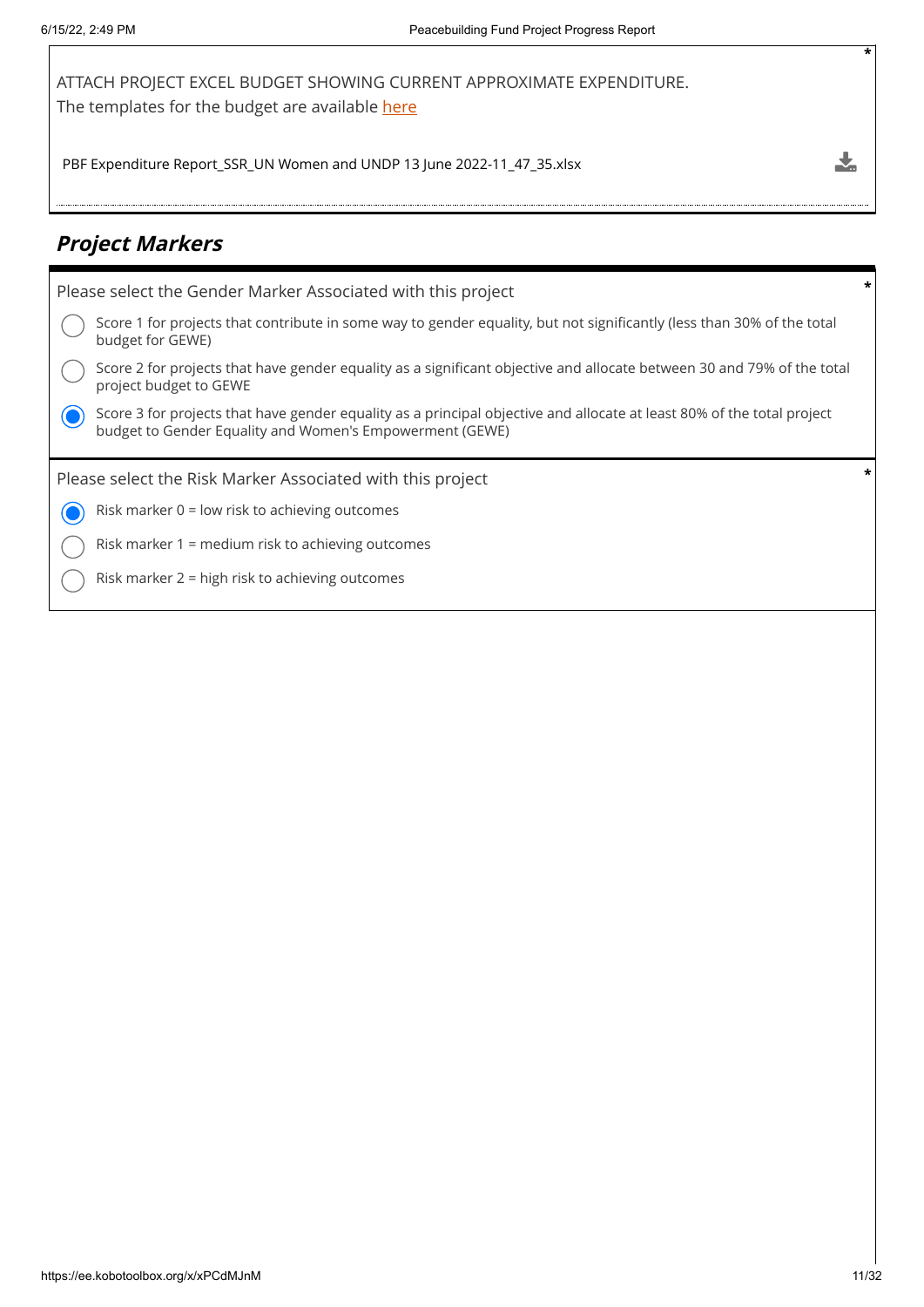$\mathsf I$ 

| ATTACH PROJECT EXCEL BUDGET SHOWING CURRENT APPROXIMATE EXPENDITURE.    |  |
|-------------------------------------------------------------------------|--|
| The templates for the budget are available here                         |  |
|                                                                         |  |
| PBF Expenditure Report_SSR_UN Women and UNDP 13 June 2022-11_47_35.xlsx |  |
|                                                                         |  |

## **Project Markers**

| Please select the Gender Marker Associated with this project                                                                                                                       | $\star$ |
|------------------------------------------------------------------------------------------------------------------------------------------------------------------------------------|---------|
| Score 1 for projects that contribute in some way to gender equality, but not significantly (less than 30% of the total<br>budget for GEWE)                                         |         |
| Score 2 for projects that have gender equality as a significant objective and allocate between 30 and 79% of the total<br>project budget to GEWE                                   |         |
| Score 3 for projects that have gender equality as a principal objective and allocate at least 80% of the total project<br>budget to Gender Equality and Women's Empowerment (GEWE) |         |
| Please select the Risk Marker Associated with this project                                                                                                                         | *       |
| Risk marker 0 = low risk to achieving outcomes                                                                                                                                     |         |
| Risk marker 1 = medium risk to achieving outcomes                                                                                                                                  |         |
| Risk marker $2 =$ high risk to achieving outcomes                                                                                                                                  |         |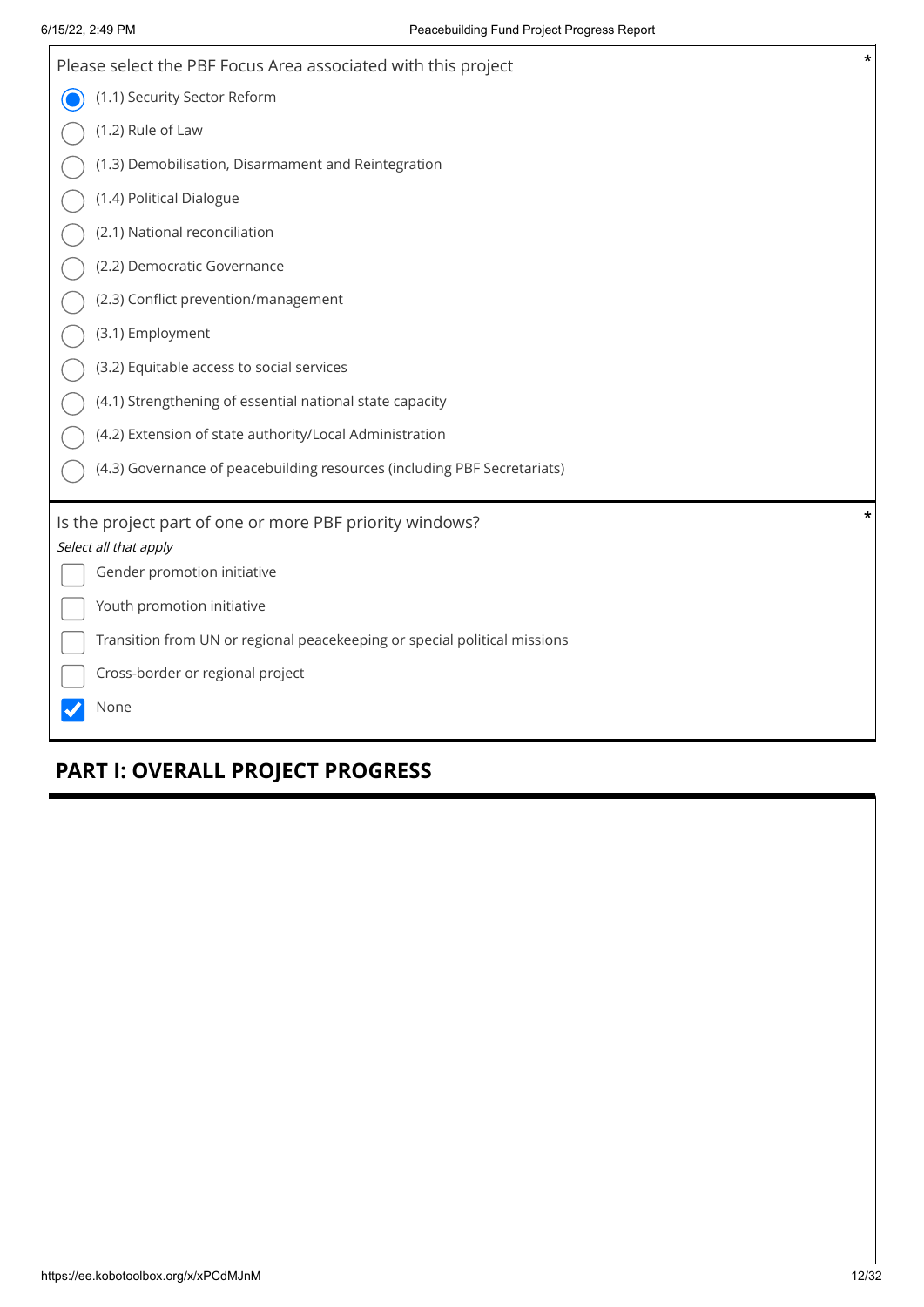| Please select the PBF Focus Area associated with this project                     | $\ast$ |
|-----------------------------------------------------------------------------------|--------|
| (1.1) Security Sector Reform                                                      |        |
| (1.2) Rule of Law                                                                 |        |
| (1.3) Demobilisation, Disarmament and Reintegration                               |        |
| (1.4) Political Dialogue                                                          |        |
| (2.1) National reconciliation                                                     |        |
| (2.2) Democratic Governance                                                       |        |
| (2.3) Conflict prevention/management                                              |        |
| (3.1) Employment                                                                  |        |
| (3.2) Equitable access to social services                                         |        |
| (4.1) Strengthening of essential national state capacity                          |        |
| (4.2) Extension of state authority/Local Administration                           |        |
| (4.3) Governance of peacebuilding resources (including PBF Secretariats)          |        |
| Is the project part of one or more PBF priority windows?<br>Select all that apply | *      |
| Gender promotion initiative                                                       |        |
| Youth promotion initiative                                                        |        |
| Transition from UN or regional peacekeeping or special political missions         |        |
| Cross-border or regional project                                                  |        |
| None                                                                              |        |

## **PART I: OVERALL PROJECT PROGRESS**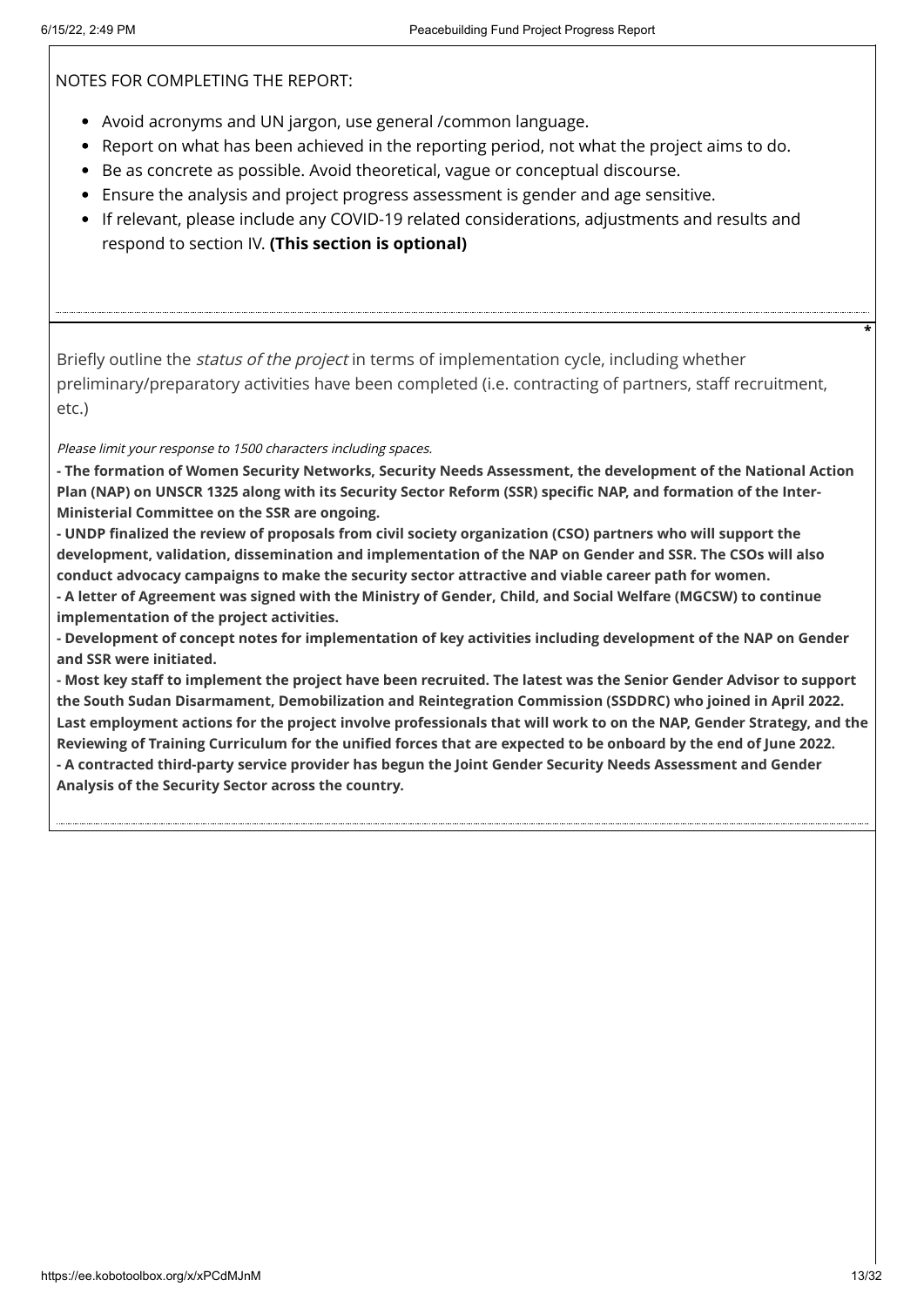NOTES FOR COMPLETING THE REPORT:

- Avoid acronyms and UN jargon, use general /common language.
- Report on what has been achieved in the reporting period, not what the project aims to do.
- Be as concrete as possible. Avoid theoretical, vague or conceptual discourse.
- Ensure the analysis and project progress assessment is gender and age sensitive.
- If relevant, please include any COVID-19 related considerations, adjustments and results and respond to section IV. **(This section is optional)**

Briefly outline the *status of the project* in terms of implementation cycle, including whether preliminary/preparatory activities have been completed (i.e. contracting of partners, staff recruitment, etc.)

Please limit your response to 1500 characters including spaces.

**- The formation of Women Security Networks, Security Needs Assessment, the development of the National Action Plan (NAP) on UNSCR 1325 along with its Security Sector Reform (SSR) specific NAP, and formation of the Inter-Ministerial Committee on the SSR are ongoing.**

**- UNDP finalized the review of proposals from civil society organization (CSO) partners who will support the development, validation, dissemination and implementation of the NAP on Gender and SSR. The CSOs will also conduct advocacy campaigns to make the security sector attractive and viable career path for women.**

**- A letter of Agreement was signed with the Ministry of Gender, Child, and Social Welfare (MGCSW) to continue implementation of the project activities.**

**- Development of concept notes for implementation of key activities including development of the NAP on Gender and SSR were initiated.**

**- Most key staff to implement the project have been recruited. The latest was the Senior Gender Advisor to support the South Sudan Disarmament, Demobilization and Reintegration Commission (SSDDRC) who joined in April 2022. Last employment actions for the project involve professionals that will work to on the NAP, Gender Strategy, and the Reviewing of Training Curriculum for the unified forces that are expected to be onboard by the end of June 2022. - A contracted third-party service provider has begun the Joint Gender Security Needs Assessment and Gender Analysis of the Security Sector across the country.**

**\***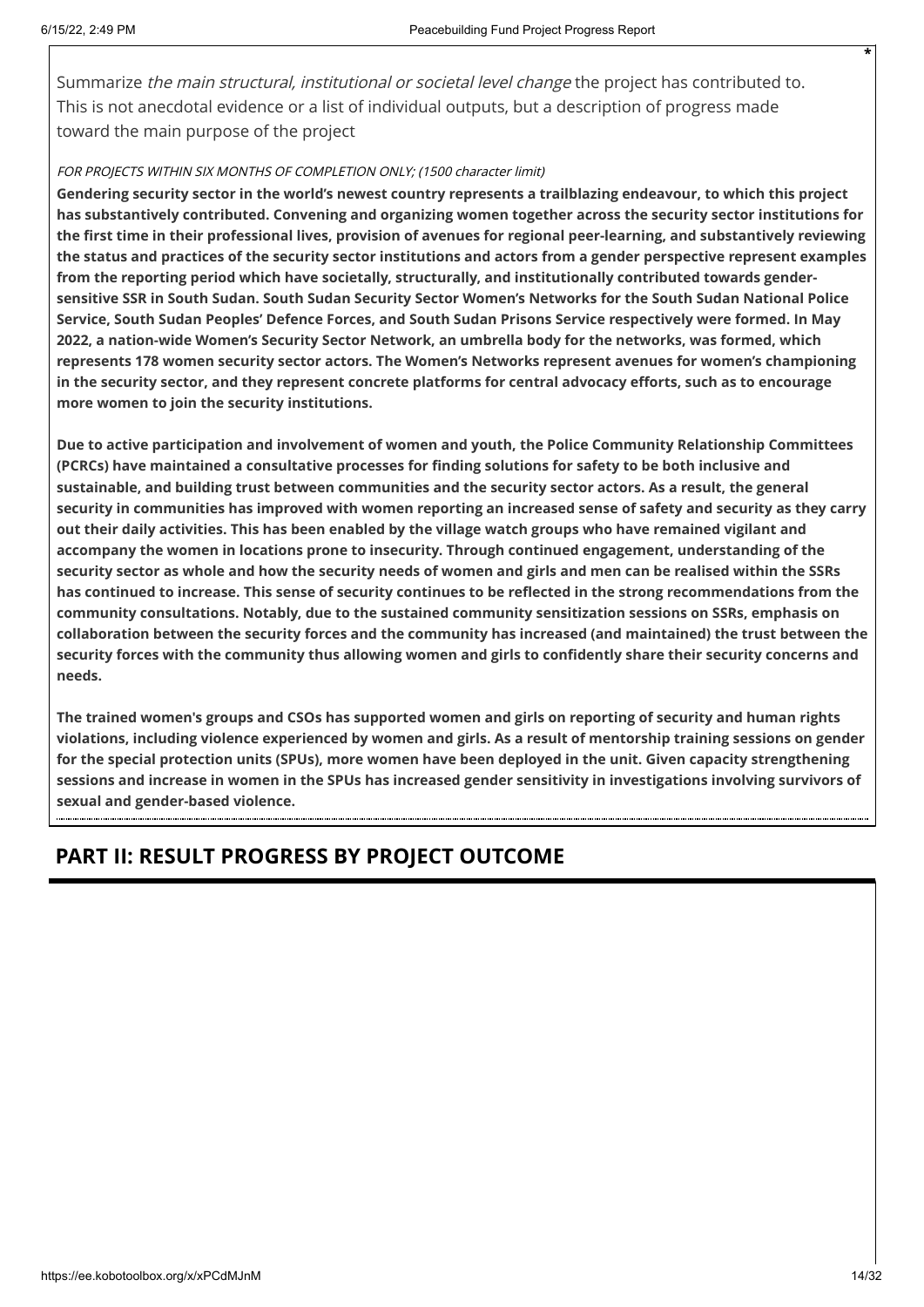Summarize the main structural, institutional or societal level change the project has contributed to. This is not anecdotal evidence or a list of individual outputs, but a description of progress made toward the main purpose of the project

#### FOR PROJECTS WITHIN SIX MONTHS OF COMPLETION ONLY; (1500 character limit)

**Gendering security sector in the world's newest country represents a trailblazing endeavour, to which this project has substantively contributed. Convening and organizing women together across the security sector institutions for the first time in their professional lives, provision of avenues for regional peer-learning, and substantively reviewing the status and practices of the security sector institutions and actors from a gender perspective represent examples from the reporting period which have societally, structurally, and institutionally contributed towards gendersensitive SSR in South Sudan. South Sudan Security Sector Women's Networks for the South Sudan National Police Service, South Sudan Peoples' Defence Forces, and South Sudan Prisons Service respectively were formed. In May 2022, a nation-wide Women's Security Sector Network, an umbrella body for the networks, was formed, which represents 178 women security sector actors. The Women's Networks represent avenues for women's championing in the security sector, and they represent concrete platforms for central advocacy efforts, such as to encourage more women to join the security institutions.**

**Due to active participation and involvement of women and youth, the Police Community Relationship Committees (PCRCs) have maintained a consultative processes for finding solutions for safety to be both inclusive and sustainable, and building trust between communities and the security sector actors. As a result, the general security in communities has improved with women reporting an increased sense of safety and security as they carry out their daily activities. This has been enabled by the village watch groups who have remained vigilant and accompany the women in locations prone to insecurity. Through continued engagement, understanding of the security sector as whole and how the security needs of women and girls and men can be realised within the SSRs has continued to increase. This sense of security continues to be reflected in the strong recommendations from the community consultations. Notably, due to the sustained community sensitization sessions on SSRs, emphasis on collaboration between the security forces and the community has increased (and maintained) the trust between the security forces with the community thus allowing women and girls to confidently share their security concerns and needs.** 

**The trained women's groups and CSOs has supported women and girls on reporting of security and human rights violations, including violence experienced by women and girls. As a result of mentorship training sessions on gender for the special protection units (SPUs), more women have been deployed in the unit. Given capacity strengthening sessions and increase in women in the SPUs has increased gender sensitivity in investigations involving survivors of sexual and gender-based violence.**

## **PART II: RESULT PROGRESS BY PROJECT OUTCOME**

**\***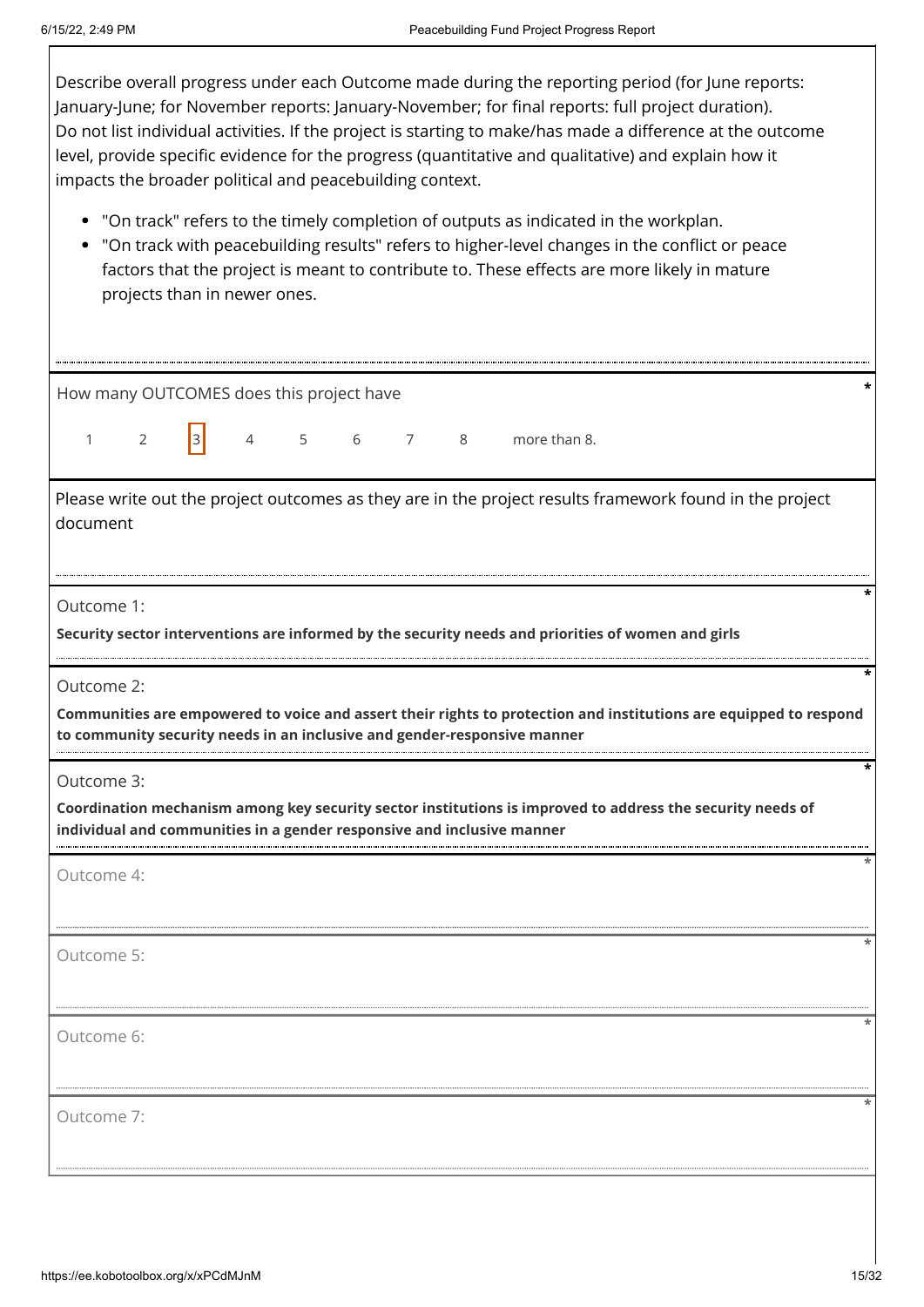$\overline{\phantom{a}}$ 

| Describe overall progress under each Outcome made during the reporting period (for June reports:<br>January-June; for November reports: January-November; for final reports: full project duration).<br>Do not list individual activities. If the project is starting to make/has made a difference at the outcome<br>level, provide specific evidence for the progress (quantitative and qualitative) and explain how it<br>impacts the broader political and peacebuilding context. |  |  |  |  |  |  |  |
|---------------------------------------------------------------------------------------------------------------------------------------------------------------------------------------------------------------------------------------------------------------------------------------------------------------------------------------------------------------------------------------------------------------------------------------------------------------------------------------|--|--|--|--|--|--|--|
| • "On track" refers to the timely completion of outputs as indicated in the workplan.<br>"On track with peacebuilding results" refers to higher-level changes in the conflict or peace<br>factors that the project is meant to contribute to. These effects are more likely in mature<br>projects than in newer ones.                                                                                                                                                                 |  |  |  |  |  |  |  |
| How many OUTCOMES does this project have                                                                                                                                                                                                                                                                                                                                                                                                                                              |  |  |  |  |  |  |  |
| 4 5 6 7 8<br> 3 <br>more than 8.<br>$1 \quad \blacksquare$<br>$\overline{2}$                                                                                                                                                                                                                                                                                                                                                                                                          |  |  |  |  |  |  |  |
| Please write out the project outcomes as they are in the project results framework found in the project<br>document                                                                                                                                                                                                                                                                                                                                                                   |  |  |  |  |  |  |  |
| Outcome 1:<br>Security sector interventions are informed by the security needs and priorities of women and girls                                                                                                                                                                                                                                                                                                                                                                      |  |  |  |  |  |  |  |
| Outcome 2:<br>Communities are empowered to voice and assert their rights to protection and institutions are equipped to respond<br>to community security needs in an inclusive and gender-responsive manner                                                                                                                                                                                                                                                                           |  |  |  |  |  |  |  |
| *<br>Outcome 3:<br>Coordination mechanism among key security sector institutions is improved to address the security needs of<br>individual and communities in a gender responsive and inclusive manner                                                                                                                                                                                                                                                                               |  |  |  |  |  |  |  |
| Outcome 4:                                                                                                                                                                                                                                                                                                                                                                                                                                                                            |  |  |  |  |  |  |  |
| Outcome 5:                                                                                                                                                                                                                                                                                                                                                                                                                                                                            |  |  |  |  |  |  |  |
| Outcome 6:                                                                                                                                                                                                                                                                                                                                                                                                                                                                            |  |  |  |  |  |  |  |
| Outcome 7:                                                                                                                                                                                                                                                                                                                                                                                                                                                                            |  |  |  |  |  |  |  |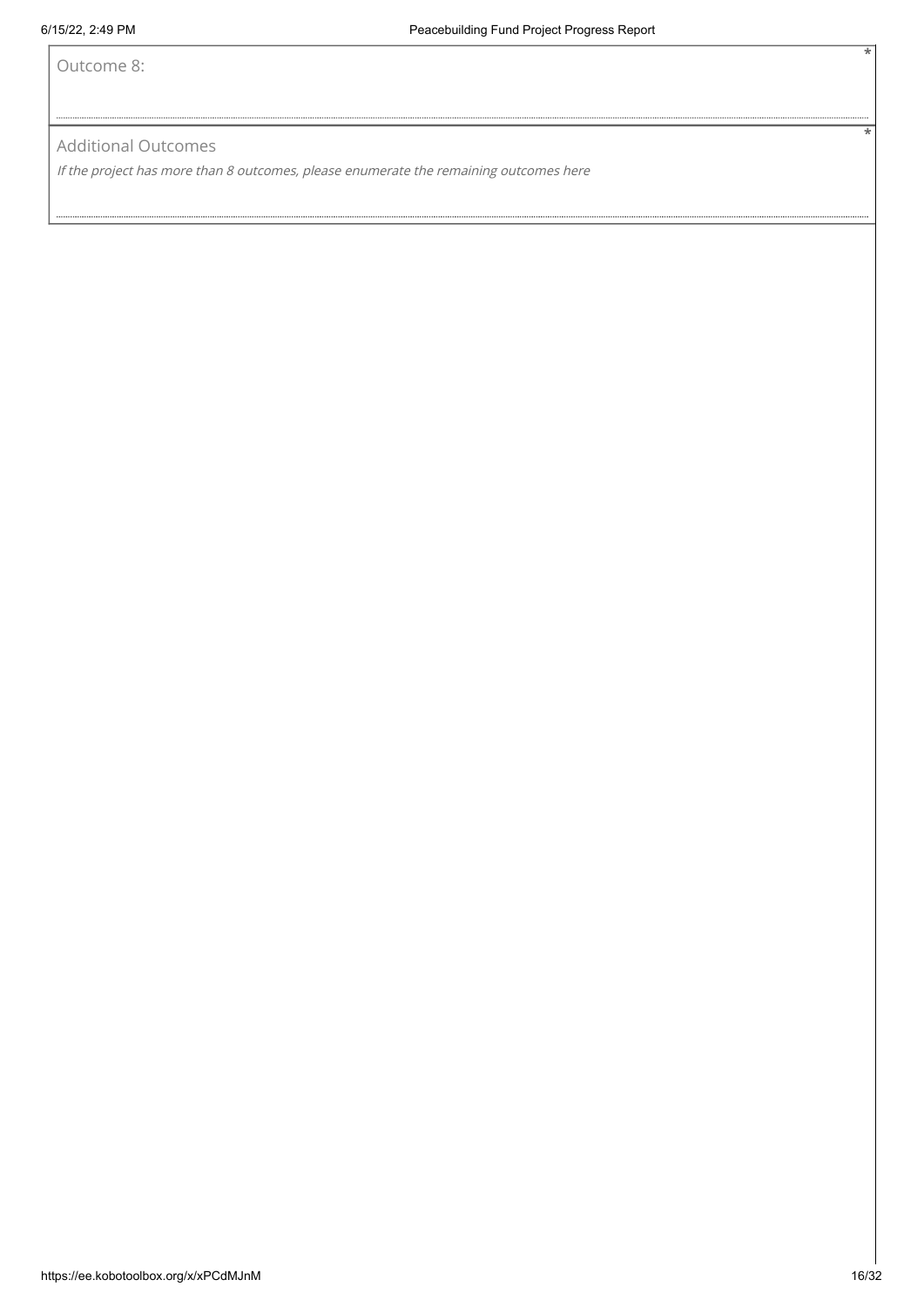Outcome 8:

#### Additional Outcomes

If the project has more than 8 outcomes, please enumerate the remaining outcomes here

**\***

**\***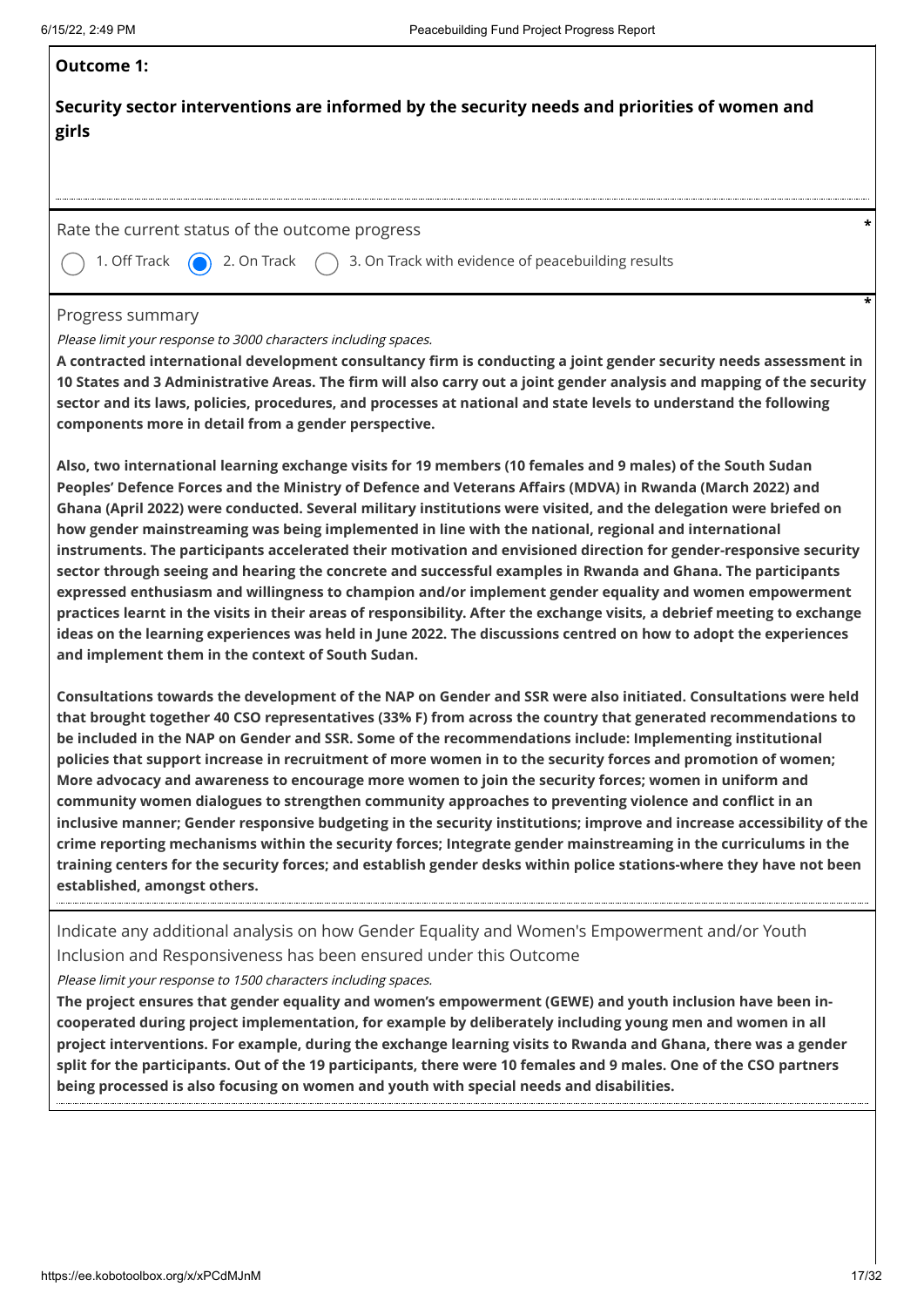$\mathbf{r}$ 

| <b>Outcome 1:</b>                                                                                                                                                                                                                                                                                                                                                                                                                                                                                                                                                                                                                                                                                                                                                                                                                                                                                                                                                                                                                                                                                             |
|---------------------------------------------------------------------------------------------------------------------------------------------------------------------------------------------------------------------------------------------------------------------------------------------------------------------------------------------------------------------------------------------------------------------------------------------------------------------------------------------------------------------------------------------------------------------------------------------------------------------------------------------------------------------------------------------------------------------------------------------------------------------------------------------------------------------------------------------------------------------------------------------------------------------------------------------------------------------------------------------------------------------------------------------------------------------------------------------------------------|
| Security sector interventions are informed by the security needs and priorities of women and<br>girls                                                                                                                                                                                                                                                                                                                                                                                                                                                                                                                                                                                                                                                                                                                                                                                                                                                                                                                                                                                                         |
|                                                                                                                                                                                                                                                                                                                                                                                                                                                                                                                                                                                                                                                                                                                                                                                                                                                                                                                                                                                                                                                                                                               |
| *<br>Rate the current status of the outcome progress<br>1. Off Track<br>2. On Track<br>3. On Track with evidence of peacebuilding results                                                                                                                                                                                                                                                                                                                                                                                                                                                                                                                                                                                                                                                                                                                                                                                                                                                                                                                                                                     |
| Progress summary<br>Please limit your response to 3000 characters including spaces.<br>A contracted international development consultancy firm is conducting a joint gender security needs assessment in<br>10 States and 3 Administrative Areas. The firm will also carry out a joint gender analysis and mapping of the security<br>sector and its laws, policies, procedures, and processes at national and state levels to understand the following<br>components more in detail from a gender perspective.                                                                                                                                                                                                                                                                                                                                                                                                                                                                                                                                                                                               |
| Also, two international learning exchange visits for 19 members (10 females and 9 males) of the South Sudan<br>Peoples' Defence Forces and the Ministry of Defence and Veterans Affairs (MDVA) in Rwanda (March 2022) and<br>Ghana (April 2022) were conducted. Several military institutions were visited, and the delegation were briefed on<br>how gender mainstreaming was being implemented in line with the national, regional and international<br>instruments. The participants accelerated their motivation and envisioned direction for gender-responsive security<br>sector through seeing and hearing the concrete and successful examples in Rwanda and Ghana. The participants<br>expressed enthusiasm and willingness to champion and/or implement gender equality and women empowerment<br>practices learnt in the visits in their areas of responsibility. After the exchange visits, a debrief meeting to exchange<br>ideas on the learning experiences was held in June 2022. The discussions centred on how to adopt the experiences<br>and implement them in the context of South Sudan. |
| Consultations towards the development of the NAP on Gender and SSR were also initiated. Consultations were held<br>that brought together 40 CSO representatives (33% F) from across the country that generated recommendations to<br>be included in the NAP on Gender and SSR. Some of the recommendations include: Implementing institutional<br>policies that support increase in recruitment of more women in to the security forces and promotion of women;<br>More advocacy and awareness to encourage more women to join the security forces; women in uniform and<br>community women dialogues to strengthen community approaches to preventing violence and conflict in an<br>inclusive manner; Gender responsive budgeting in the security institutions; improve and increase accessibility of the<br>crime reporting mechanisms within the security forces; Integrate gender mainstreaming in the curriculums in the<br>training centers for the security forces; and establish gender desks within police stations-where they have not been<br>established, amongst others.                        |
| Indicate any additional analysis on how Gender Equality and Women's Empowerment and/or Youth<br>Inclusion and Responsiveness has been ensured under this Outcome<br>Please limit your response to 1500 characters including spaces.<br>The project ensures that gender equality and women's empowerment (GEWE) and youth inclusion have been in-<br>cooperated during project implementation, for example by deliberately including young men and women in all<br>project interventions. For example, during the exchange learning visits to Rwanda and Ghana, there was a gender<br>split for the participants. Out of the 19 participants, there were 10 females and 9 males. One of the CSO partners<br>being processed is also focusing on women and youth with special needs and disabilities.                                                                                                                                                                                                                                                                                                           |
|                                                                                                                                                                                                                                                                                                                                                                                                                                                                                                                                                                                                                                                                                                                                                                                                                                                                                                                                                                                                                                                                                                               |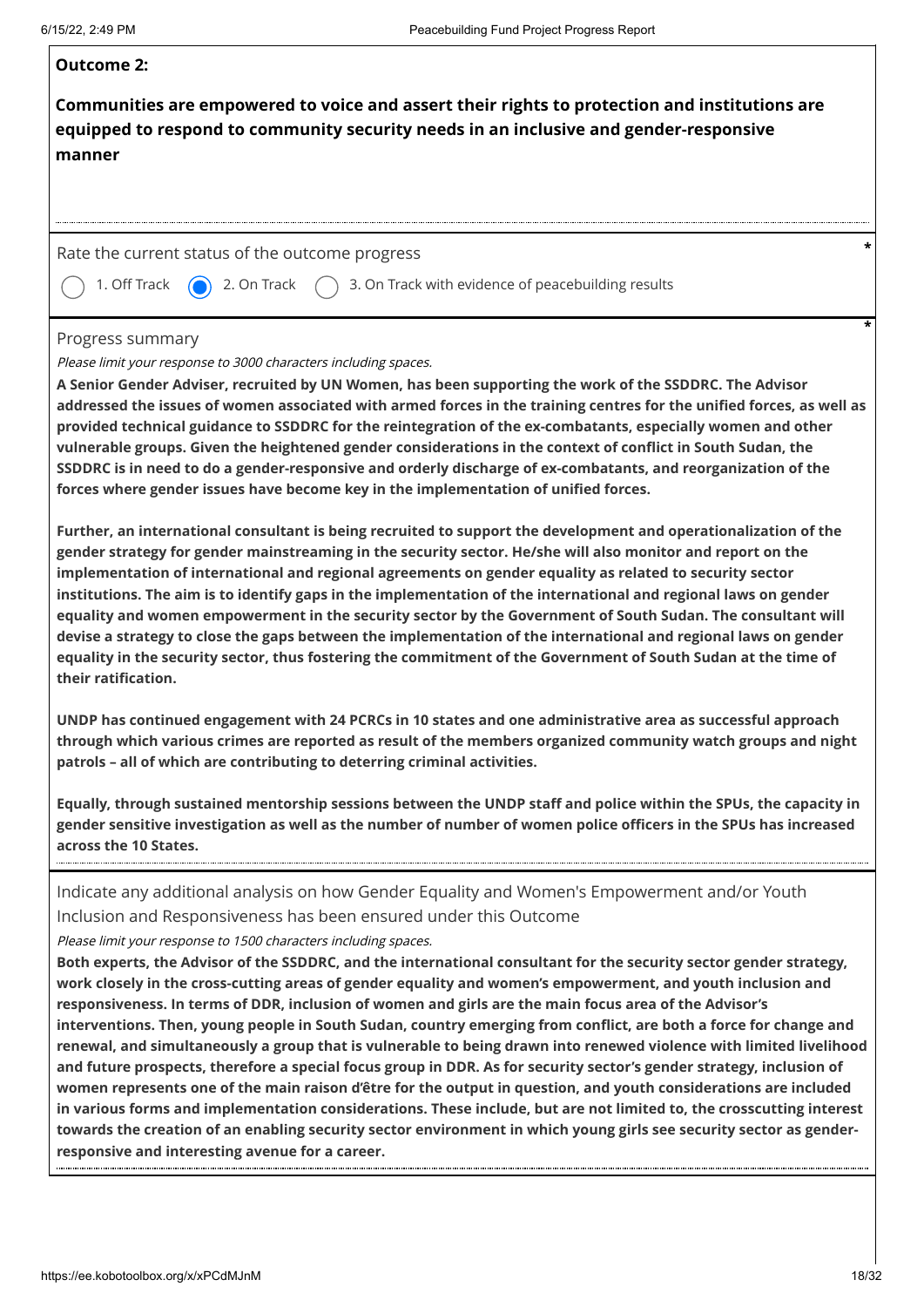| <b>Outcome 2:</b>                                                                                                                                                                                                                                                                                                                                                                                                                                                                                                                                                                                                                                                                                                                                                                                                                                                                                                                                                                                                                                                                                                                                                                                                                                                                                                                                                            |
|------------------------------------------------------------------------------------------------------------------------------------------------------------------------------------------------------------------------------------------------------------------------------------------------------------------------------------------------------------------------------------------------------------------------------------------------------------------------------------------------------------------------------------------------------------------------------------------------------------------------------------------------------------------------------------------------------------------------------------------------------------------------------------------------------------------------------------------------------------------------------------------------------------------------------------------------------------------------------------------------------------------------------------------------------------------------------------------------------------------------------------------------------------------------------------------------------------------------------------------------------------------------------------------------------------------------------------------------------------------------------|
| Communities are empowered to voice and assert their rights to protection and institutions are<br>equipped to respond to community security needs in an inclusive and gender-responsive<br>manner                                                                                                                                                                                                                                                                                                                                                                                                                                                                                                                                                                                                                                                                                                                                                                                                                                                                                                                                                                                                                                                                                                                                                                             |
|                                                                                                                                                                                                                                                                                                                                                                                                                                                                                                                                                                                                                                                                                                                                                                                                                                                                                                                                                                                                                                                                                                                                                                                                                                                                                                                                                                              |
| Rate the current status of the outcome progress                                                                                                                                                                                                                                                                                                                                                                                                                                                                                                                                                                                                                                                                                                                                                                                                                                                                                                                                                                                                                                                                                                                                                                                                                                                                                                                              |
| 1. Off Track<br>3. On Track with evidence of peacebuilding results<br>2. On Track                                                                                                                                                                                                                                                                                                                                                                                                                                                                                                                                                                                                                                                                                                                                                                                                                                                                                                                                                                                                                                                                                                                                                                                                                                                                                            |
| Progress summary<br>Please limit your response to 3000 characters including spaces.<br>A Senior Gender Adviser, recruited by UN Women, has been supporting the work of the SSDDRC. The Advisor<br>addressed the issues of women associated with armed forces in the training centres for the unified forces, as well as<br>provided technical guidance to SSDDRC for the reintegration of the ex-combatants, especially women and other<br>vulnerable groups. Given the heightened gender considerations in the context of conflict in South Sudan, the<br>SSDDRC is in need to do a gender-responsive and orderly discharge of ex-combatants, and reorganization of the<br>forces where gender issues have become key in the implementation of unified forces.                                                                                                                                                                                                                                                                                                                                                                                                                                                                                                                                                                                                              |
| Further, an international consultant is being recruited to support the development and operationalization of the<br>gender strategy for gender mainstreaming in the security sector. He/she will also monitor and report on the<br>implementation of international and regional agreements on gender equality as related to security sector<br>institutions. The aim is to identify gaps in the implementation of the international and regional laws on gender<br>equality and women empowerment in the security sector by the Government of South Sudan. The consultant will<br>devise a strategy to close the gaps between the implementation of the international and regional laws on gender<br>equality in the security sector, thus fostering the commitment of the Government of South Sudan at the time of<br>their ratification.                                                                                                                                                                                                                                                                                                                                                                                                                                                                                                                                   |
| UNDP has continued engagement with 24 PCRCs in 10 states and one administrative area as successful approach<br>through which various crimes are reported as result of the members organized community watch groups and night<br>patrols - all of which are contributing to deterring criminal activities.                                                                                                                                                                                                                                                                                                                                                                                                                                                                                                                                                                                                                                                                                                                                                                                                                                                                                                                                                                                                                                                                    |
| Equally, through sustained mentorship sessions between the UNDP staff and police within the SPUs, the capacity in<br>gender sensitive investigation as well as the number of number of women police officers in the SPUs has increased<br>across the 10 States.                                                                                                                                                                                                                                                                                                                                                                                                                                                                                                                                                                                                                                                                                                                                                                                                                                                                                                                                                                                                                                                                                                              |
| Indicate any additional analysis on how Gender Equality and Women's Empowerment and/or Youth<br>Inclusion and Responsiveness has been ensured under this Outcome<br>Please limit your response to 1500 characters including spaces.<br>Both experts, the Advisor of the SSDDRC, and the international consultant for the security sector gender strategy,<br>work closely in the cross-cutting areas of gender equality and women's empowerment, and youth inclusion and<br>responsiveness. In terms of DDR, inclusion of women and girls are the main focus area of the Advisor's<br>interventions. Then, young people in South Sudan, country emerging from conflict, are both a force for change and<br>renewal, and simultaneously a group that is vulnerable to being drawn into renewed violence with limited livelihood<br>and future prospects, therefore a special focus group in DDR. As for security sector's gender strategy, inclusion of<br>women represents one of the main raison d'être for the output in question, and youth considerations are included<br>in various forms and implementation considerations. These include, but are not limited to, the crosscutting interest<br>towards the creation of an enabling security sector environment in which young girls see security sector as gender-<br>responsive and interesting avenue for a career. |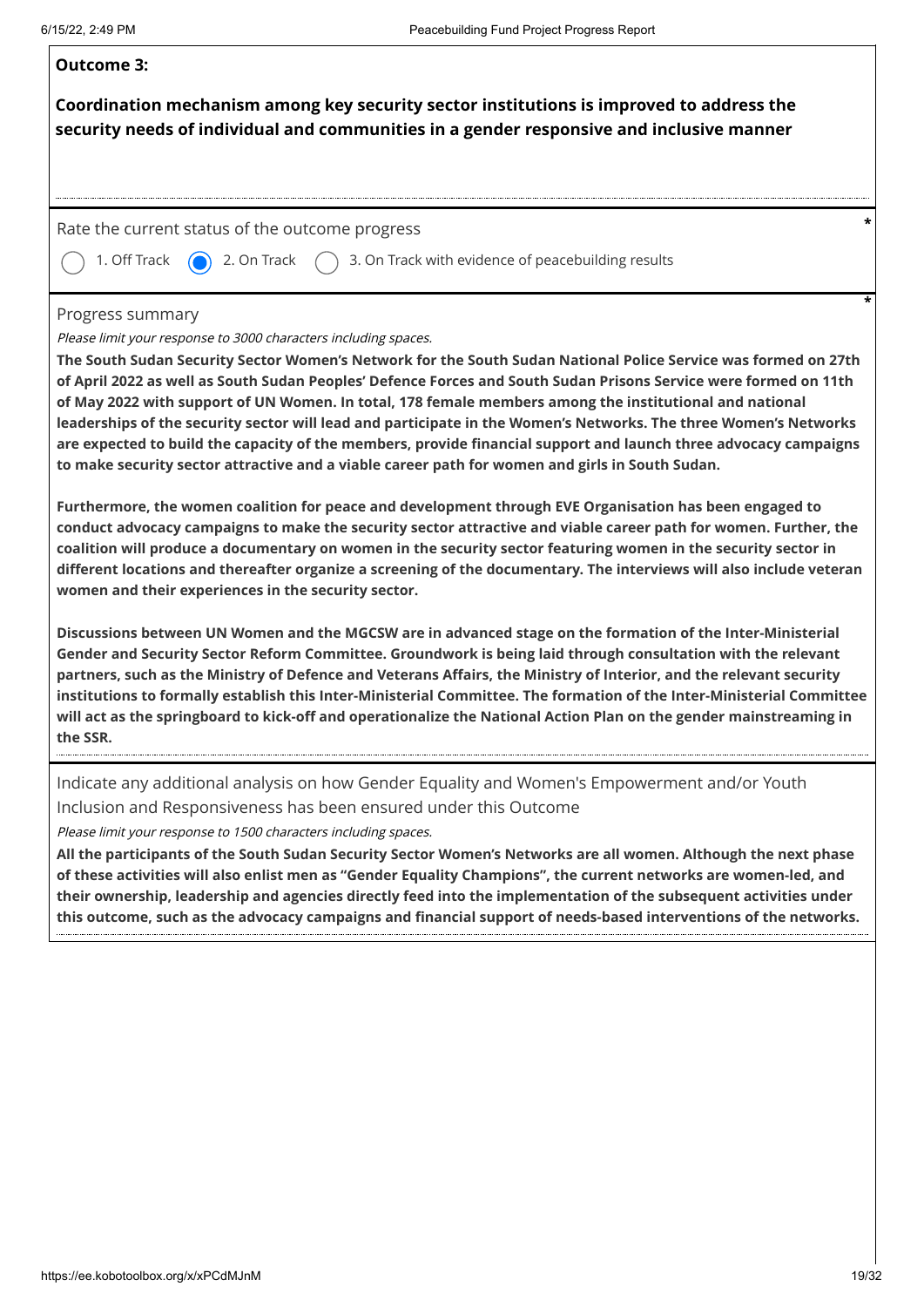$\mathbf{r}$ 

| <b>Outcome 3:</b>                                                                                                                                                                                                                                                                                                                                                                                                                                                                                                                                                                                            |
|--------------------------------------------------------------------------------------------------------------------------------------------------------------------------------------------------------------------------------------------------------------------------------------------------------------------------------------------------------------------------------------------------------------------------------------------------------------------------------------------------------------------------------------------------------------------------------------------------------------|
| Coordination mechanism among key security sector institutions is improved to address the                                                                                                                                                                                                                                                                                                                                                                                                                                                                                                                     |
| security needs of individual and communities in a gender responsive and inclusive manner                                                                                                                                                                                                                                                                                                                                                                                                                                                                                                                     |
|                                                                                                                                                                                                                                                                                                                                                                                                                                                                                                                                                                                                              |
|                                                                                                                                                                                                                                                                                                                                                                                                                                                                                                                                                                                                              |
| Rate the current status of the outcome progress                                                                                                                                                                                                                                                                                                                                                                                                                                                                                                                                                              |
| 1. Off Track<br>2. On Track<br>3. On Track with evidence of peacebuilding results                                                                                                                                                                                                                                                                                                                                                                                                                                                                                                                            |
| Progress summary                                                                                                                                                                                                                                                                                                                                                                                                                                                                                                                                                                                             |
| Please limit your response to 3000 characters including spaces.<br>The South Sudan Security Sector Women's Network for the South Sudan National Police Service was formed on 27th                                                                                                                                                                                                                                                                                                                                                                                                                            |
| of April 2022 as well as South Sudan Peoples' Defence Forces and South Sudan Prisons Service were formed on 11th<br>of May 2022 with support of UN Women. In total, 178 female members among the institutional and national<br>leaderships of the security sector will lead and participate in the Women's Networks. The three Women's Networks<br>are expected to build the capacity of the members, provide financial support and launch three advocacy campaigns<br>to make security sector attractive and a viable career path for women and girls in South Sudan.                                       |
| Furthermore, the women coalition for peace and development through EVE Organisation has been engaged to<br>conduct advocacy campaigns to make the security sector attractive and viable career path for women. Further, the<br>coalition will produce a documentary on women in the security sector featuring women in the security sector in<br>different locations and thereafter organize a screening of the documentary. The interviews will also include veteran<br>women and their experiences in the security sector.                                                                                 |
| Discussions between UN Women and the MGCSW are in advanced stage on the formation of the Inter-Ministerial<br>Gender and Security Sector Reform Committee. Groundwork is being laid through consultation with the relevant<br>partners, such as the Ministry of Defence and Veterans Affairs, the Ministry of Interior, and the relevant security<br>institutions to formally establish this Inter-Ministerial Committee. The formation of the Inter-Ministerial Committee<br>will act as the springboard to kick-off and operationalize the National Action Plan on the gender mainstreaming in<br>the SSR. |
| Indicate any additional analysis on how Gender Equality and Women's Empowerment and/or Youth                                                                                                                                                                                                                                                                                                                                                                                                                                                                                                                 |
| Inclusion and Responsiveness has been ensured under this Outcome                                                                                                                                                                                                                                                                                                                                                                                                                                                                                                                                             |
| Please limit your response to 1500 characters including spaces.<br>All the participants of the South Sudan Security Sector Women's Networks are all women. Although the next phase<br>of these activities will also enlist men as "Gender Equality Champions", the current networks are women-led, and<br>their ownership, leadership and agencies directly feed into the implementation of the subsequent activities under<br>this outcome, such as the advocacy campaigns and financial support of needs-based interventions of the networks.                                                              |
|                                                                                                                                                                                                                                                                                                                                                                                                                                                                                                                                                                                                              |
|                                                                                                                                                                                                                                                                                                                                                                                                                                                                                                                                                                                                              |
|                                                                                                                                                                                                                                                                                                                                                                                                                                                                                                                                                                                                              |
|                                                                                                                                                                                                                                                                                                                                                                                                                                                                                                                                                                                                              |
|                                                                                                                                                                                                                                                                                                                                                                                                                                                                                                                                                                                                              |
|                                                                                                                                                                                                                                                                                                                                                                                                                                                                                                                                                                                                              |

٦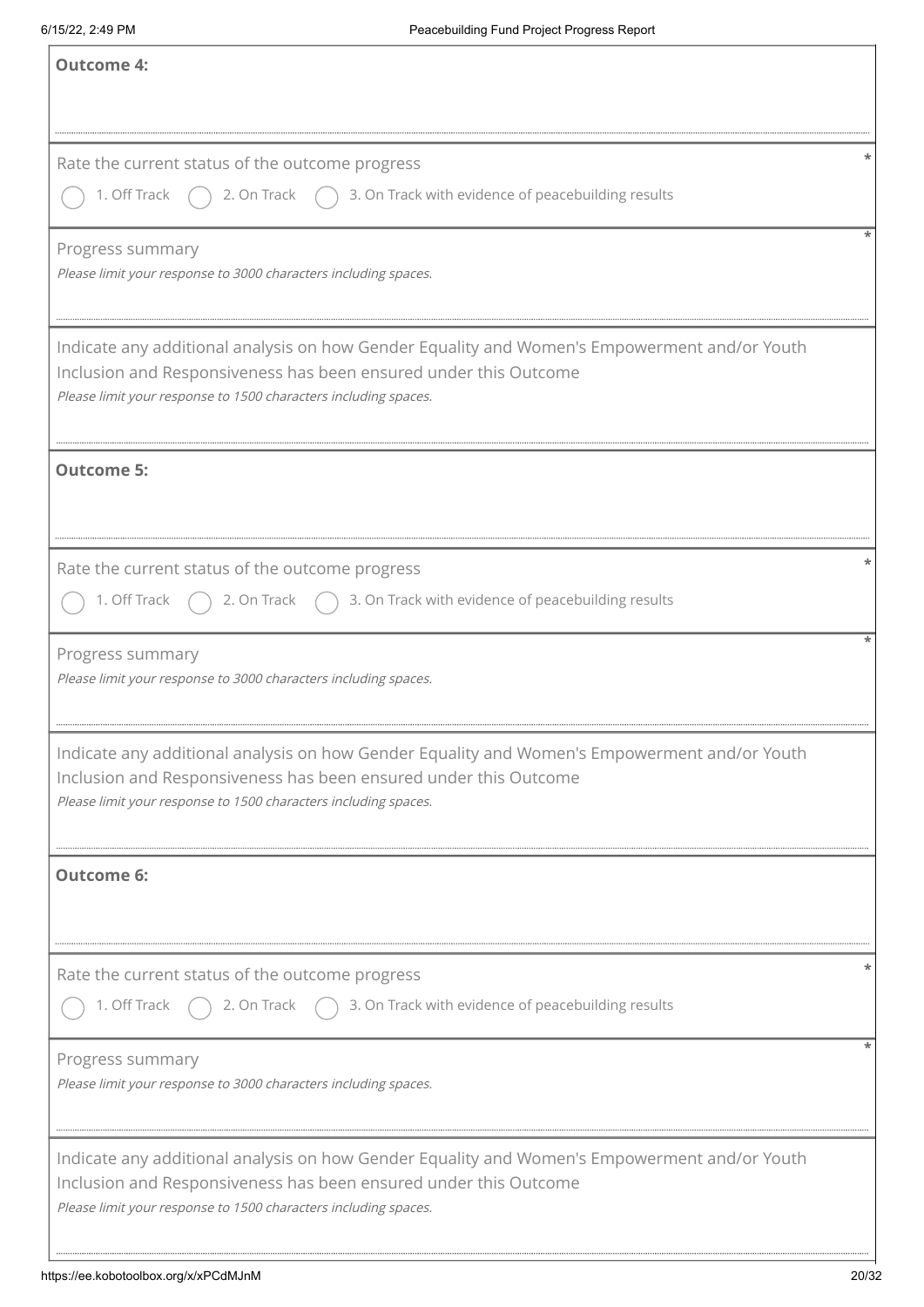| <b>Outcome 4:</b>                                                                                                                                                                                                                   |
|-------------------------------------------------------------------------------------------------------------------------------------------------------------------------------------------------------------------------------------|
|                                                                                                                                                                                                                                     |
| Rate the current status of the outcome progress<br>1. Off Track<br>$\binom{1}{2}$ 2. On Track $\binom{1}{2}$ 3. On Track with evidence of peacebuilding results                                                                     |
| Progress summary<br>Please limit your response to 3000 characters including spaces.                                                                                                                                                 |
| Indicate any additional analysis on how Gender Equality and Women's Empowerment and/or Youth<br>Inclusion and Responsiveness has been ensured under this Outcome<br>Please limit your response to 1500 characters including spaces. |
| <b>Outcome 5:</b>                                                                                                                                                                                                                   |
| Rate the current status of the outcome progress<br>$\bigcap$ 3. On Track with evidence of peacebuilding results<br>1. Off Track<br>2. On Track                                                                                      |
| Progress summary<br>Please limit your response to 3000 characters including spaces.                                                                                                                                                 |
| Indicate any additional analysis on how Gender Equality and Women's Empowerment and/or Youth<br>Inclusion and Responsiveness has been ensured under this Outcome<br>Please limit your response to 1500 characters including spaces. |
| <b>Outcome 6:</b>                                                                                                                                                                                                                   |
| Rate the current status of the outcome progress<br>1. Off Track<br>2. On Track<br>3. On Track with evidence of peacebuilding results                                                                                                |
| Progress summary<br>Please limit your response to 3000 characters including spaces.                                                                                                                                                 |
| Indicate any additional analysis on how Gender Equality and Women's Empowerment and/or Youth<br>Inclusion and Responsiveness has been ensured under this Outcome<br>Please limit your response to 1500 characters including spaces. |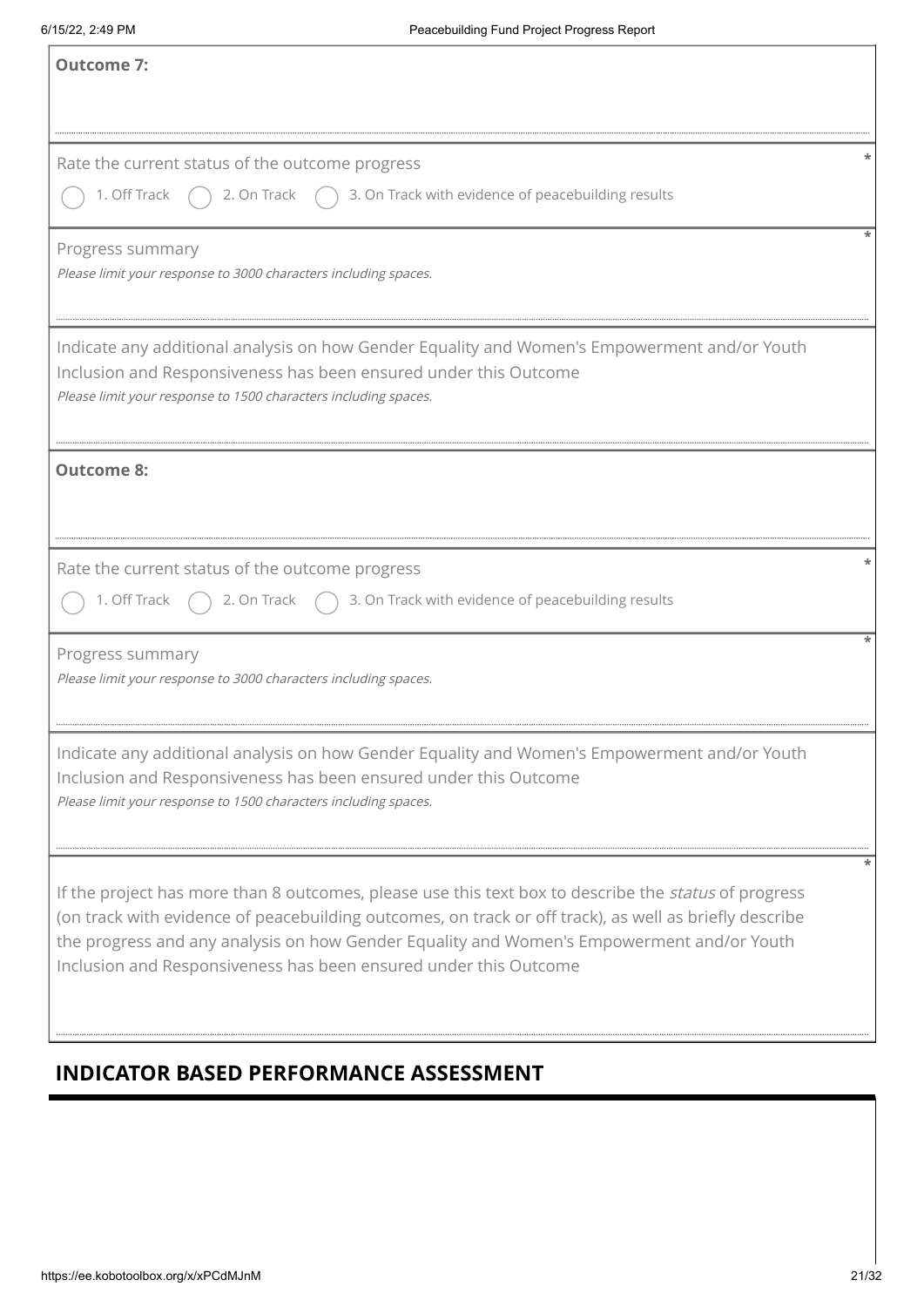| Outcome 7:                                                                                                                                                           |  |
|----------------------------------------------------------------------------------------------------------------------------------------------------------------------|--|
|                                                                                                                                                                      |  |
| Rate the current status of the outcome progress                                                                                                                      |  |
| ◯ 1. Off Track $\bigcirc$ 2. On Track $\bigcirc$ 3. On Track with evidence of peacebuilding results                                                                  |  |
| Progress summary                                                                                                                                                     |  |
| Please limit your response to 3000 characters including spaces.                                                                                                      |  |
| Indicate any additional analysis on how Gender Equality and Women's Empowerment and/or Youth                                                                         |  |
| Inclusion and Responsiveness has been ensured under this Outcome<br>Please limit your response to 1500 characters including spaces.                                  |  |
|                                                                                                                                                                      |  |
| Outcome 8:                                                                                                                                                           |  |
|                                                                                                                                                                      |  |
| Rate the current status of the outcome progress                                                                                                                      |  |
| ◯ 1. Off Track ◯ 2. On Track ◯ 3. On Track with evidence of peacebuilding results                                                                                    |  |
| Progress summary                                                                                                                                                     |  |
| Please limit your response to 3000 characters including spaces.                                                                                                      |  |
| Indicate any additional analysis on how Gender Equality and Women's Empowerment and/or Youth                                                                         |  |
| Inclusion and Responsiveness has been ensured under this Outcome<br>Please limit your response to 1500 characters including spaces.                                  |  |
|                                                                                                                                                                      |  |
| If the project has more than 8 outcomes, please use this text box to describe the <i>status</i> of progress                                                          |  |
| on track with evidence of peacebuilding outcomes, on track or off track), as well as briefly describe                                                                |  |
| $\mid$ the progress and any analysis on how Gender Equality and Women's Empowerment and/or Youth<br>Inclusion and Responsiveness has been ensured under this Outcome |  |
|                                                                                                                                                                      |  |
|                                                                                                                                                                      |  |

## **INDICATOR BASED PERFORMANCE ASSESSMENT**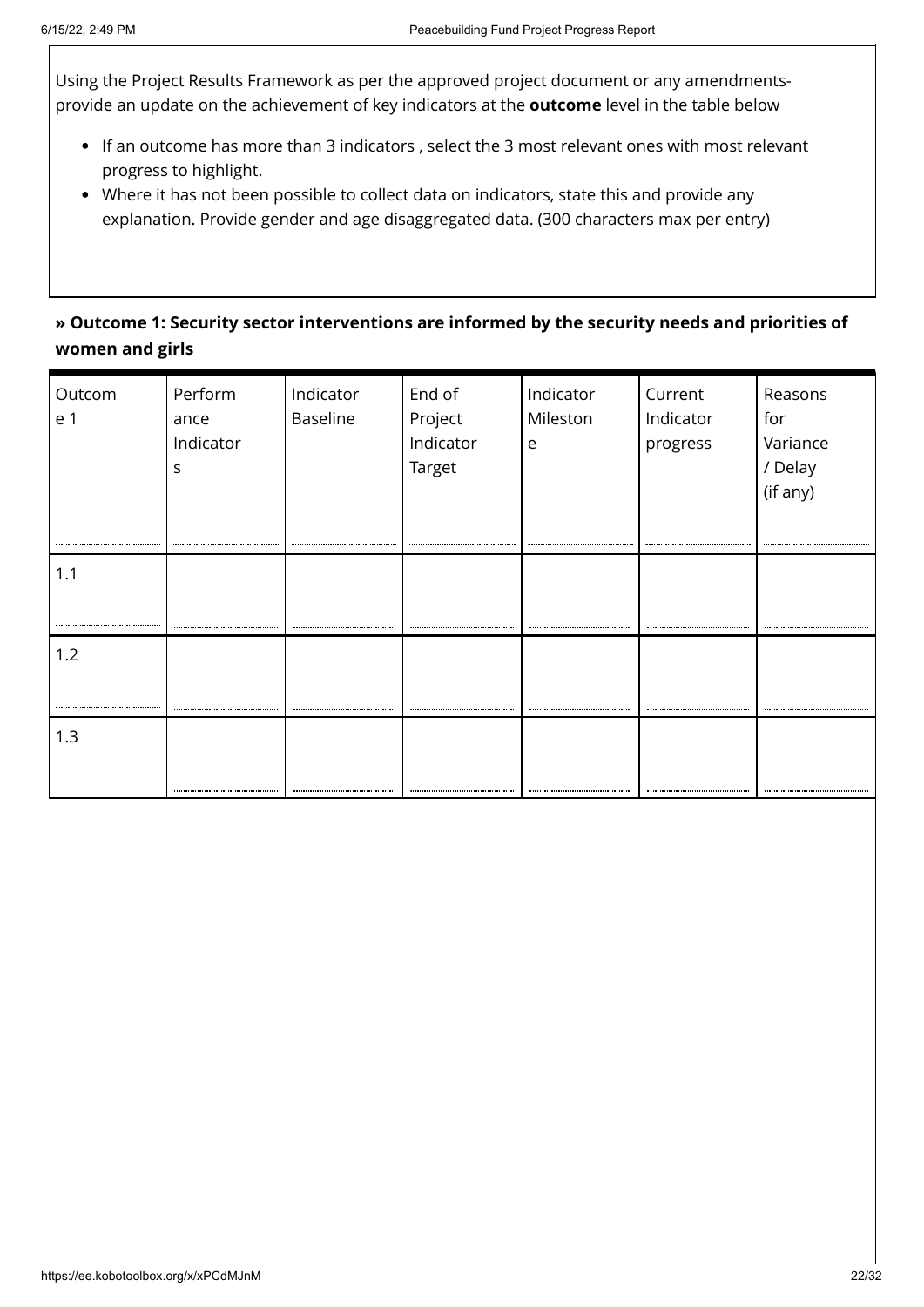Using the Project Results Framework as per the approved project document or any amendmentsprovide an update on the achievement of key indicators at the **outcome** level in the table below

- If an outcome has more than 3 indicators , select the 3 most relevant ones with most relevant progress to highlight.
- Where it has not been possible to collect data on indicators, state this and provide any explanation. Provide gender and age disaggregated data. (300 characters max per entry)

### **» Outcome 1: Security sector interventions are informed by the security needs and priorities of women and girls**

| Outcom<br>e 1 | Perform<br>ance<br>Indicator<br>s | Indicator<br>Baseline | End of<br>Project<br>Indicator<br>Target | Indicator<br>Mileston<br>e | Current<br>Indicator<br>progress | Reasons<br>for<br>Variance<br>/ Delay<br>(if any) |
|---------------|-----------------------------------|-----------------------|------------------------------------------|----------------------------|----------------------------------|---------------------------------------------------|
| 1.1           |                                   |                       |                                          |                            |                                  |                                                   |
| 1.2           |                                   |                       |                                          |                            |                                  |                                                   |
| 1.3           |                                   |                       |                                          |                            |                                  |                                                   |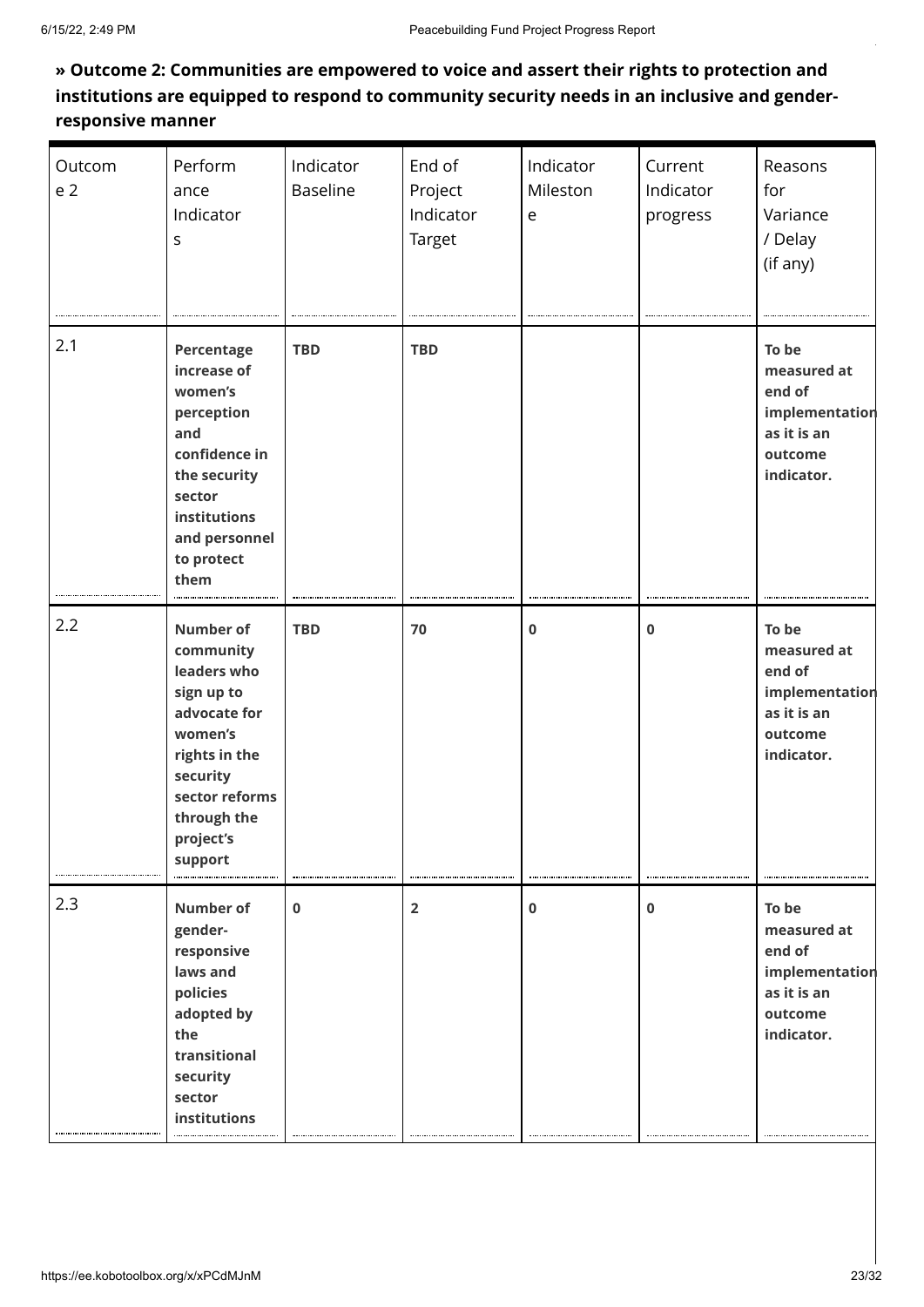## **» Outcome 2: Communities are empowered to voice and assert their rights to protection and institutions are equipped to respond to community security needs in an inclusive and genderresponsive manner**

| Outcom<br>e <sub>2</sub> | Perform<br>ance<br>Indicator<br>S                                                                                                                                           | Indicator<br><b>Baseline</b> | End of<br>Project<br>Indicator<br>Target | Indicator<br>Mileston<br>$\mathsf{e}$ | Current<br>Indicator<br>progress | Reasons<br>for<br>Variance<br>/ Delay<br>(if any)                                        |
|--------------------------|-----------------------------------------------------------------------------------------------------------------------------------------------------------------------------|------------------------------|------------------------------------------|---------------------------------------|----------------------------------|------------------------------------------------------------------------------------------|
| 2.1                      | Percentage<br>increase of<br>women's<br>perception<br>and<br>confidence in<br>the security<br>sector<br>institutions<br>and personnel<br>to protect<br>them                 | <b>TBD</b>                   | <b>TBD</b>                               |                                       |                                  | To be<br>measured at<br>end of<br>implementation<br>as it is an<br>outcome<br>indicator. |
| 2.2                      | <b>Number of</b><br>community<br>leaders who<br>sign up to<br>advocate for<br>women's<br>rights in the<br>security<br>sector reforms<br>through the<br>project's<br>support | <b>TBD</b>                   | 70                                       | $\bf{0}$                              | $\mathbf 0$                      | To be<br>measured at<br>end of<br>implementation<br>as it is an<br>outcome<br>indicator. |
| 2.3                      | <b>Number of</b><br>gender-<br>responsive<br>laws and<br>policies<br>adopted by<br>the<br>transitional<br>security<br>sector<br>institutions                                | $\mathbf 0$                  | $\overline{2}$                           | $\mathbf{0}$                          | $\bf{0}$                         | To be<br>measured at<br>end of<br>implementation<br>as it is an<br>outcome<br>indicator. |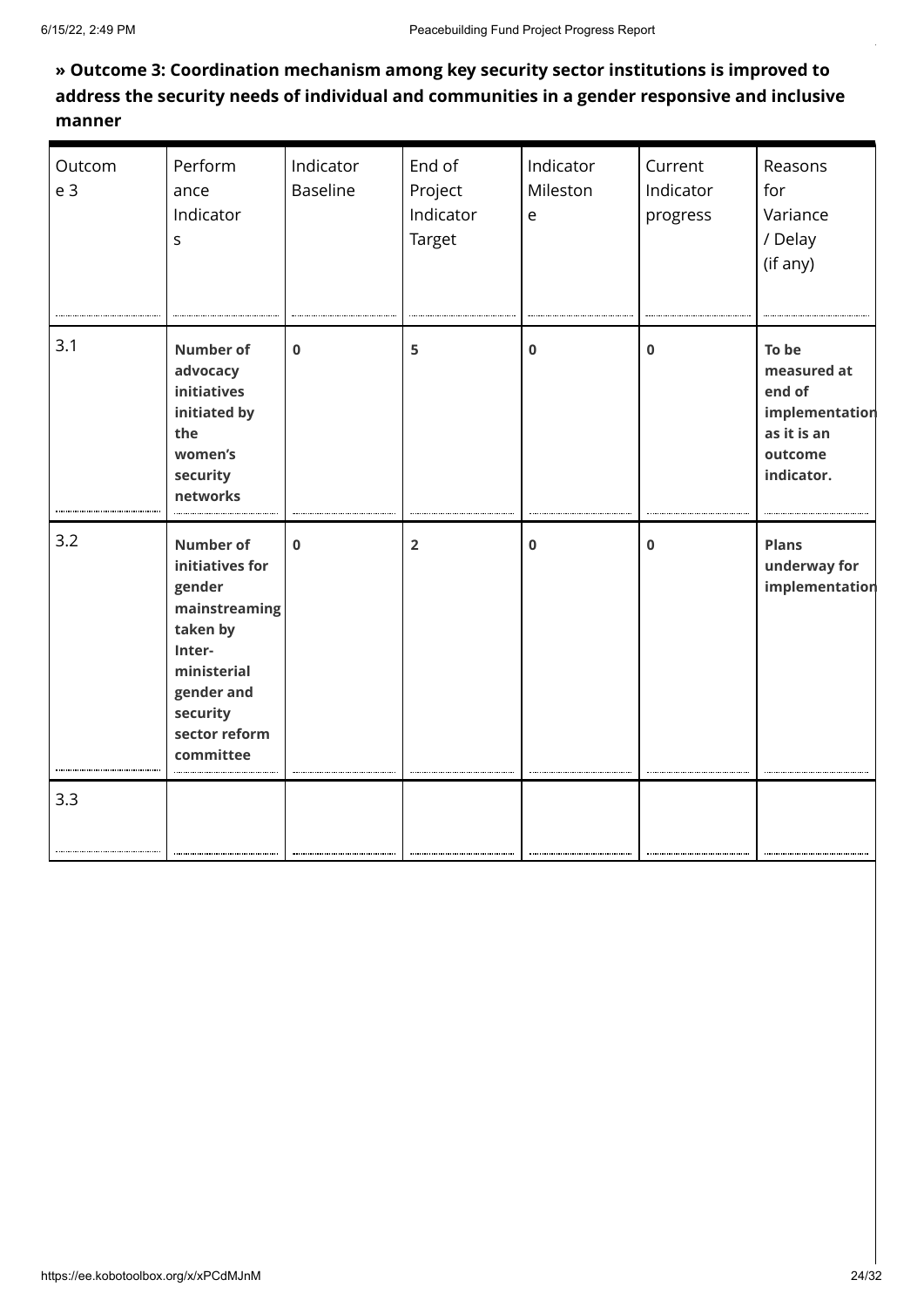## **» Outcome 3: Coordination mechanism among key security sector institutions is improved to address the security needs of individual and communities in a gender responsive and inclusive manner**

| Outcom<br>e <sub>3</sub> | Perform<br>ance<br>Indicator<br>S                                                                                                                           | Indicator<br><b>Baseline</b> | End of<br>Project<br>Indicator<br>Target | Indicator<br>Mileston<br>$\mathbf{e}$ | Current<br>Indicator<br>progress | Reasons<br>for<br>Variance<br>/ Delay<br>(if any)                                        |
|--------------------------|-------------------------------------------------------------------------------------------------------------------------------------------------------------|------------------------------|------------------------------------------|---------------------------------------|----------------------------------|------------------------------------------------------------------------------------------|
| 3.1                      | <b>Number of</b><br>advocacy<br><b>initiatives</b><br>initiated by<br>the<br>women's<br>security<br>networks                                                | $\mathbf 0$                  | 5                                        | $\mathbf 0$                           | $\mathbf 0$                      | To be<br>measured at<br>end of<br>implementation<br>as it is an<br>outcome<br>indicator. |
| 3.2                      | <b>Number of</b><br>initiatives for<br>gender<br>mainstreaming<br>taken by<br>Inter-<br>ministerial<br>gender and<br>security<br>sector reform<br>committee | $\mathbf 0$                  | $\overline{2}$                           | $\mathbf 0$                           | $\mathbf 0$                      | <b>Plans</b><br>underway for<br>implementation                                           |
| 3.3                      |                                                                                                                                                             |                              |                                          |                                       |                                  |                                                                                          |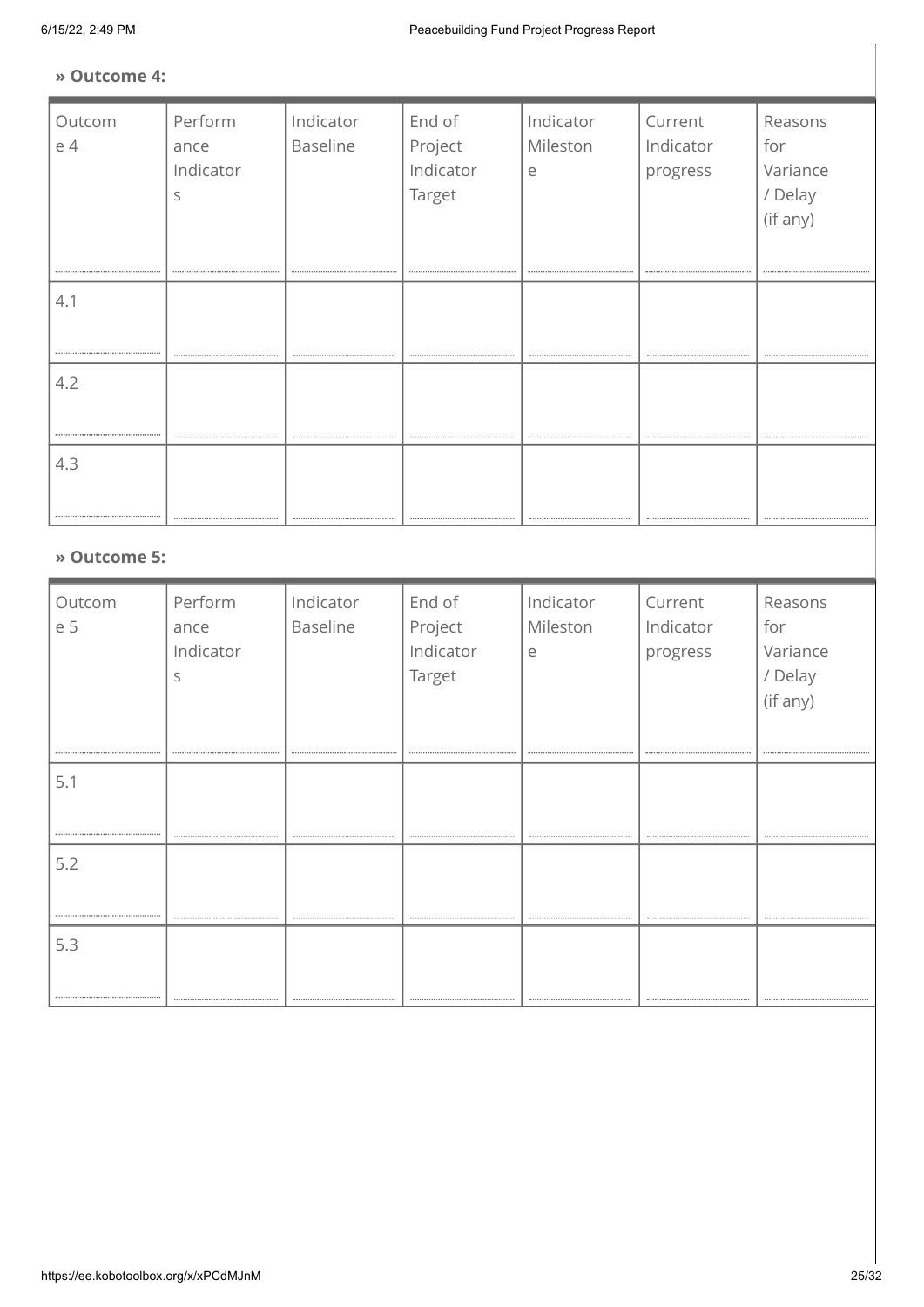#### **» Outcome 4:**

| Outcom<br>e 4 | Perform<br>ance<br>Indicator<br>S | Indicator<br>Baseline | End of<br>Project<br>Indicator<br>Target | Indicator<br>Mileston<br>e | Current<br>Indicator<br>progress | Reasons<br>for<br>Variance<br>/ Delay<br>(if any) |  |
|---------------|-----------------------------------|-----------------------|------------------------------------------|----------------------------|----------------------------------|---------------------------------------------------|--|
| 4.1           |                                   |                       |                                          |                            |                                  |                                                   |  |
| 4.2           |                                   |                       |                                          |                            |                                  |                                                   |  |
| 4.3           |                                   |                       |                                          |                            |                                  | ,,,,,,,,,,,,,,,,,,,,,,,,,,,,,,,,,,,,,             |  |
| » Outcome 5:  |                                   |                       |                                          |                            |                                  |                                                   |  |
| Outcom        | Perform                           | Indicator             | End of                                   | Indicator                  | Current                          | Reasons                                           |  |

| Outcom | Perform   | Indicator | End of    | Indicator | Current   | Reasons  |
|--------|-----------|-----------|-----------|-----------|-----------|----------|
| e 5    | ance      | Baseline  | Project   | Mileston  | Indicator | for      |
|        | Indicator |           | Indicator | e         | progress  | Variance |
|        | S         |           | Target    |           |           | / Delay  |
|        |           |           |           |           |           | (if any) |
|        |           |           |           |           |           |          |
|        |           |           |           |           |           |          |
| 5.1    |           |           |           |           |           |          |
|        |           |           |           |           |           |          |
|        |           |           |           |           |           |          |
| 5.2    |           |           |           |           |           |          |
|        |           |           |           |           |           |          |
|        |           |           |           |           |           |          |
|        |           |           |           |           |           |          |
| 5.3    |           |           |           |           |           |          |
|        |           |           |           |           |           |          |
|        |           |           |           |           |           |          |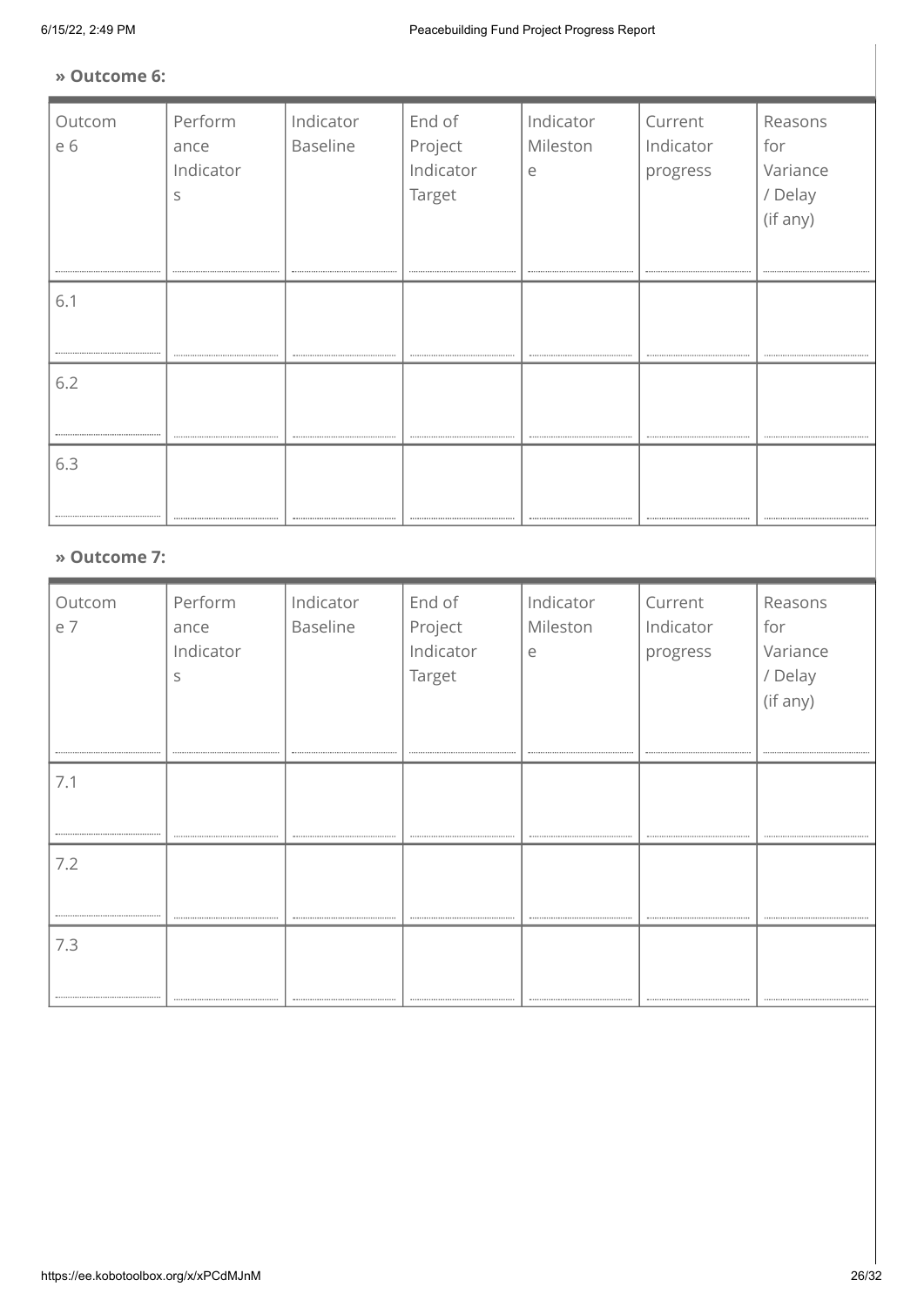#### **» Outcome 6:**

| Outcom<br>e 6      | Perform<br>ance<br>Indicator<br>S | Indicator<br>Baseline        | End of<br>Project<br>Indicator<br>Target | Indicator<br>Mileston<br>e | Current<br>Indicator<br>progress | Reasons<br>for<br>Variance<br>/ Delay<br>(if any) |
|--------------------|-----------------------------------|------------------------------|------------------------------------------|----------------------------|----------------------------------|---------------------------------------------------|
| 6.1                |                                   |                              |                                          |                            |                                  |                                                   |
| 6.2                |                                   |                              |                                          |                            |                                  |                                                   |
| 6.3                |                                   |                              |                                          |                            |                                  |                                                   |
| » Outcome 7:       |                                   |                              |                                          |                            |                                  |                                                   |
| Outcom<br>$\sim$ 7 | Perform<br>ance                   | Indicator<br><b>Baseline</b> | End of<br>Project                        | Indicator<br>Mileston      | Current<br>Indicator             | Reasons<br>f∩r                                    |

| Outcom | Perform   | Indicator | End of    | Indicator  | Current   | Reasons  |
|--------|-----------|-----------|-----------|------------|-----------|----------|
| e 7    | ance      | Baseline  | Project   | Mileston   | Indicator | for      |
|        | Indicator |           | Indicator | $\epsilon$ | progress  | Variance |
|        | S         |           | Target    |            |           | / Delay  |
|        |           |           |           |            |           | (if any) |
|        |           |           |           |            |           |          |
|        |           |           |           |            |           |          |
| 7.1    |           |           |           |            |           |          |
|        |           |           |           |            |           |          |
|        |           |           |           |            |           |          |
|        |           |           |           |            |           |          |
| 7.2    |           |           |           |            |           |          |
|        |           |           |           |            |           |          |
|        |           |           |           |            |           |          |
| 7.3    |           |           |           |            |           |          |
|        |           |           |           |            |           |          |
|        |           |           |           |            |           |          |
|        |           |           |           |            |           |          |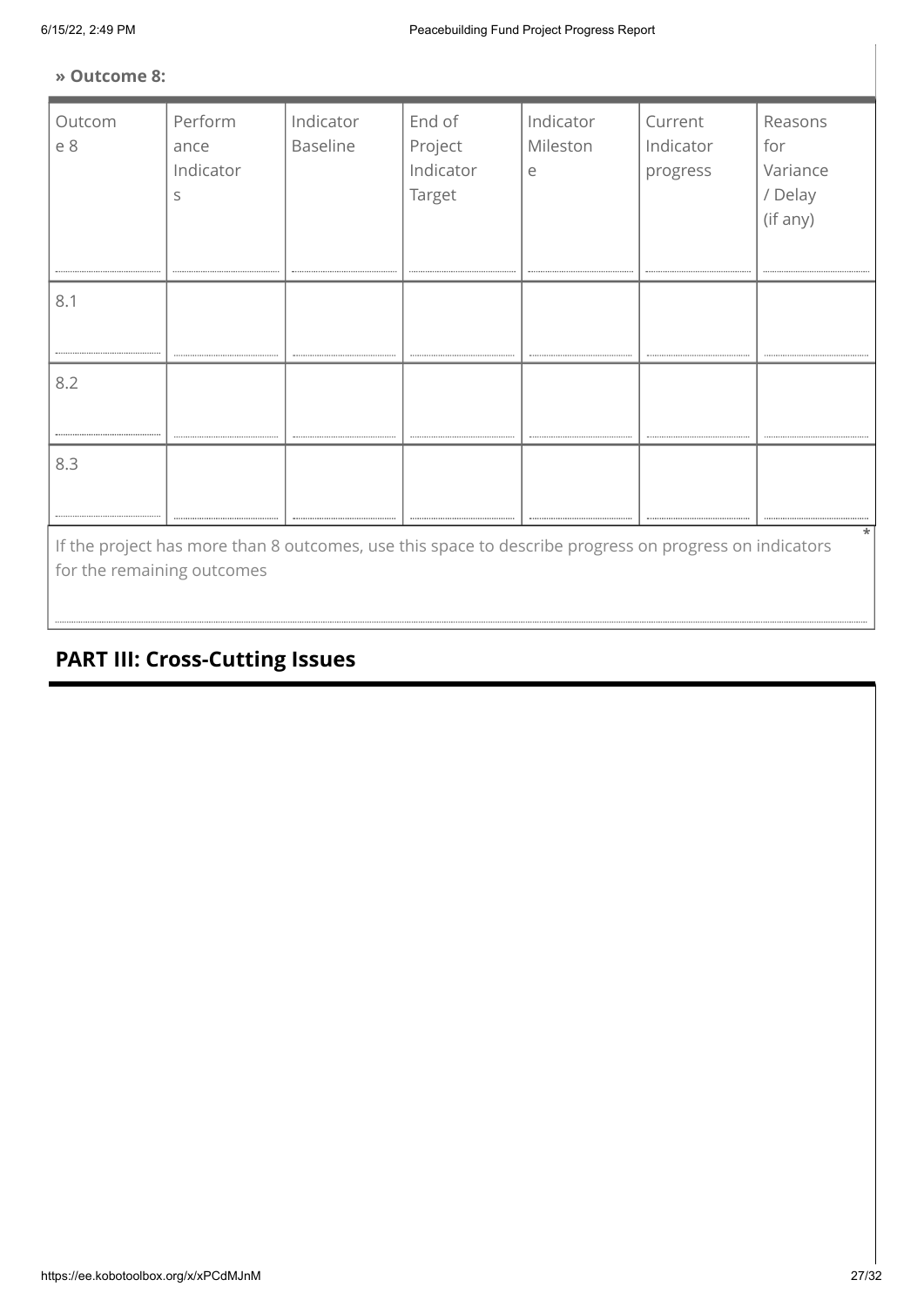#### **» Outcome 8:**

| Outcom<br>e 8                                                                                                                        | Perform<br>ance<br>Indicator<br>S | Indicator<br>Baseline | End of<br>Project<br>Indicator<br>Target | Indicator<br>Mileston<br>e | Current<br>Indicator<br>progress | Reasons<br>for<br>Variance<br>/ Delay<br>(if any) |
|--------------------------------------------------------------------------------------------------------------------------------------|-----------------------------------|-----------------------|------------------------------------------|----------------------------|----------------------------------|---------------------------------------------------|
| 8.1                                                                                                                                  |                                   |                       |                                          |                            |                                  |                                                   |
|                                                                                                                                      |                                   |                       |                                          |                            |                                  |                                                   |
|                                                                                                                                      |                                   |                       |                                          |                            |                                  |                                                   |
| 8.2                                                                                                                                  |                                   |                       |                                          |                            |                                  |                                                   |
|                                                                                                                                      |                                   |                       |                                          |                            |                                  |                                                   |
| 8.3                                                                                                                                  |                                   |                       |                                          |                            |                                  |                                                   |
|                                                                                                                                      |                                   |                       |                                          |                            |                                  |                                                   |
|                                                                                                                                      |                                   |                       |                                          |                            |                                  |                                                   |
| If the project has more than 8 outcomes, use this space to describe progress on progress on indicators<br>for the remaining outcomes |                                   |                       |                                          |                            |                                  |                                                   |

# **PART III: Cross-Cutting Issues**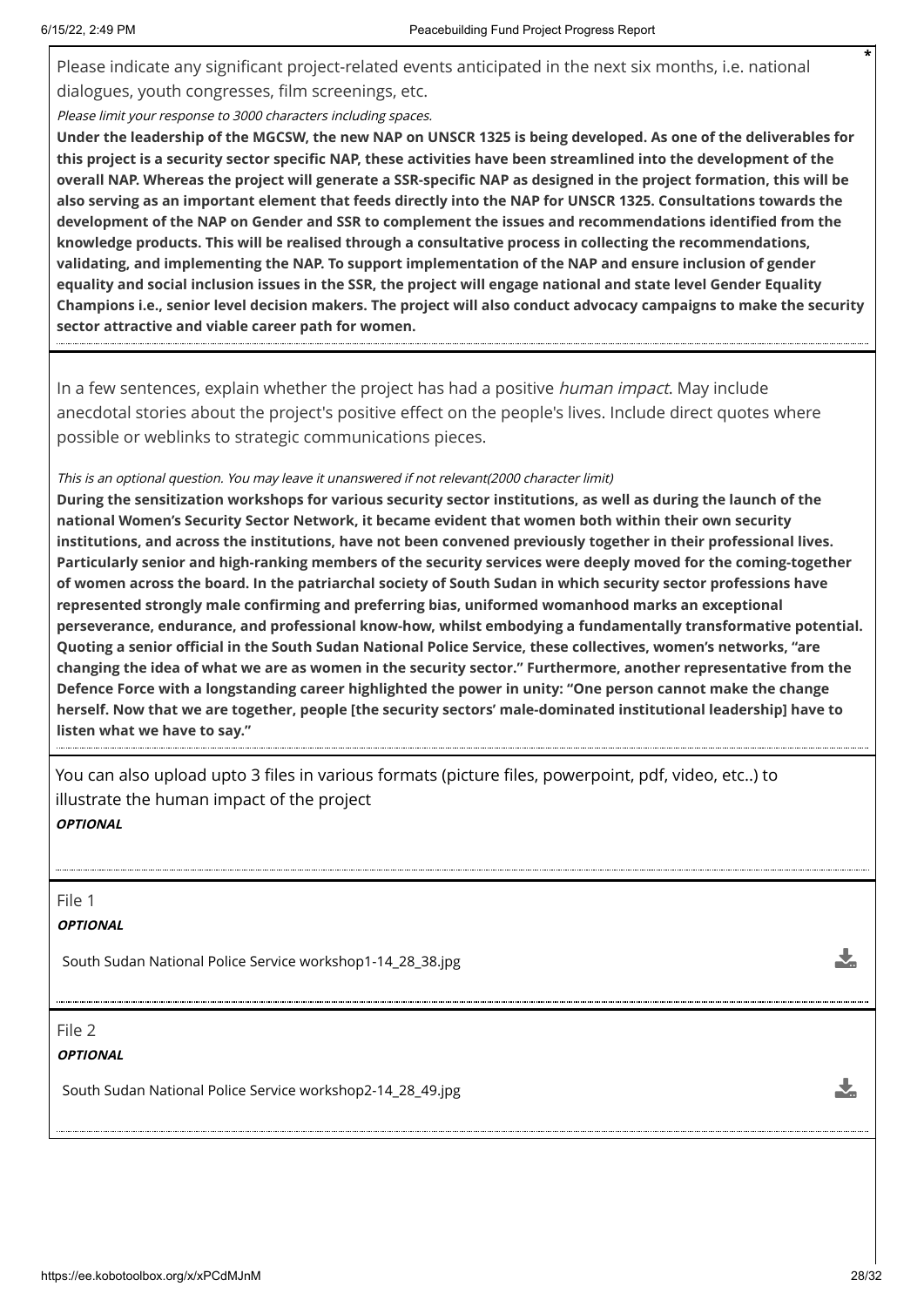Please indicate any significant project-related events anticipated in the next six months, i.e. national dialogues, youth congresses, film screenings, etc.

Please limit your response to 3000 characters including spaces.

**Under the leadership of the MGCSW, the new NAP on UNSCR 1325 is being developed. As one of the deliverables for this project is a security sector specific NAP, these activities have been streamlined into the development of the overall NAP. Whereas the project will generate a SSR-specific NAP as designed in the project formation, this will be also serving as an important element that feeds directly into the NAP for UNSCR 1325. Consultations towards the development of the NAP on Gender and SSR to complement the issues and recommendations identified from the knowledge products. This will be realised through a consultative process in collecting the recommendations, validating, and implementing the NAP. To support implementation of the NAP and ensure inclusion of gender equality and social inclusion issues in the SSR, the project will engage national and state level Gender Equality Champions i.e., senior level decision makers. The project will also conduct advocacy campaigns to make the security sector attractive and viable career path for women.**

In a few sentences, explain whether the project has had a positive *human impact*. May include anecdotal stories about the project's positive effect on the people's lives. Include direct quotes where possible or weblinks to strategic communications pieces.

#### This is an optional question. You may leave it unanswered if not relevant(2000 character limit)

**During the sensitization workshops for various security sector institutions, as well as during the launch of the national Women's Security Sector Network, it became evident that women both within their own security institutions, and across the institutions, have not been convened previously together in their professional lives. Particularly senior and high-ranking members of the security services were deeply moved for the coming-together of women across the board. In the patriarchal society of South Sudan in which security sector professions have represented strongly male confirming and preferring bias, uniformed womanhood marks an exceptional perseverance, endurance, and professional know-how, whilst embodying a fundamentally transformative potential. Quoting a senior official in the South Sudan National Police Service, these collectives, women's networks, "are changing the idea of what we are as women in the security sector." Furthermore, another representative from the Defence Force with a longstanding career highlighted the power in unity: "One person cannot make the change herself. Now that we are together, people [the security sectors' male-dominated institutional leadership] have to listen what we have to say."**

You can also upload upto 3 files in various formats (picture files, powerpoint, pdf, video, etc..) to illustrate the human impact of the project **OPTIONAL**

File 1

**OPTIONAL**

South Sudan National Police Service workshop1-14\_28\_38.jpg

File 2

**OPTIONAL**

South Sudan National Police Service workshop2-14\_28\_49.jpg

 $\frac{1}{2}$ 

土

**\***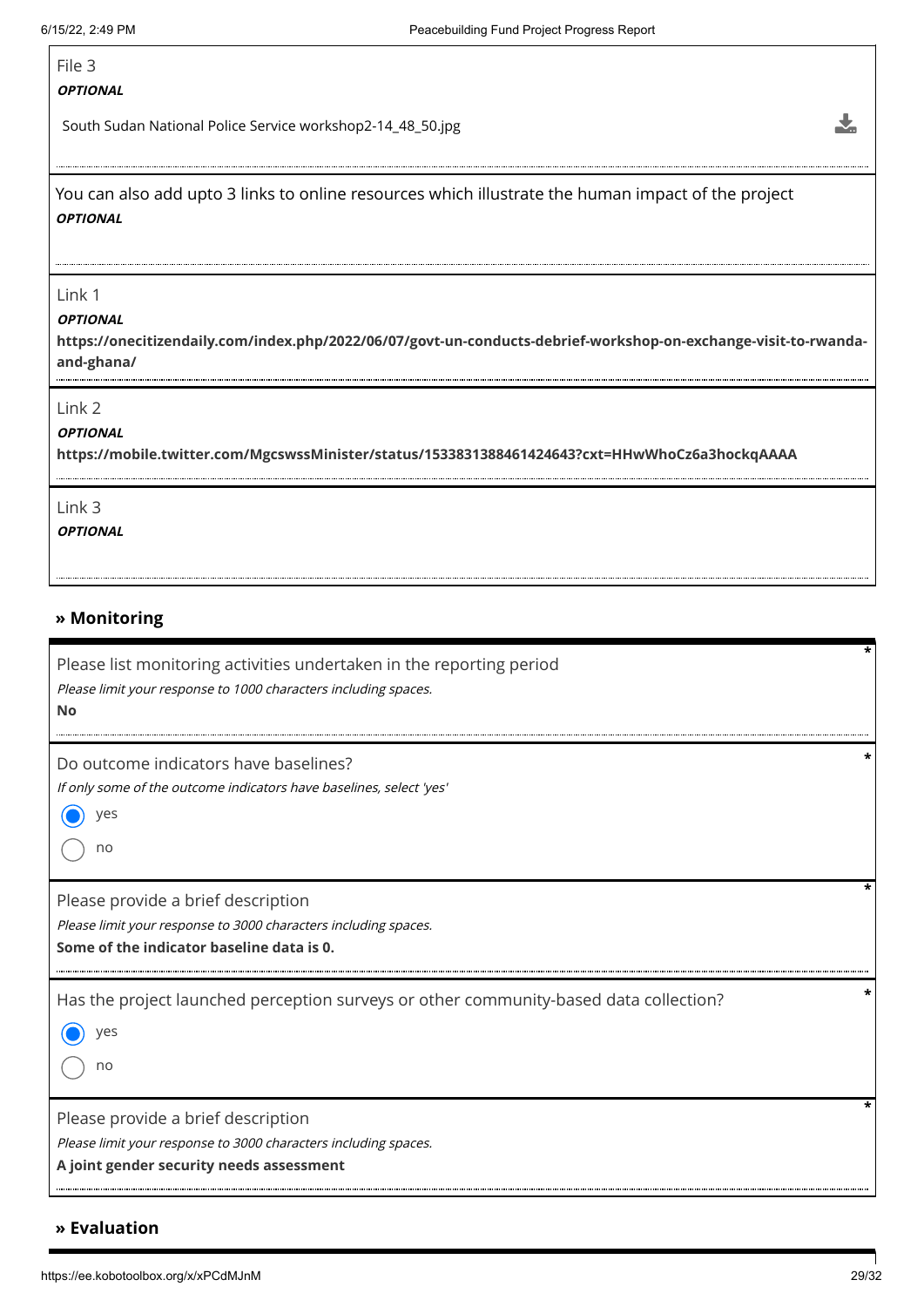#### File 3

#### **OPTIONAL**

South Sudan National Police Service workshop2-14\_48\_50.jpg

You can also add upto 3 links to online resources which illustrate the human impact of the project **OPTIONAL**

#### Link 1

#### **OPTIONAL**

**https://onecitizendaily.com/index.php/2022/06/07/govt-un-conducts-debrief-workshop-on-exchange-visit-to-rwandaand-ghana/**

Link 2

#### **OPTIONAL**

**https://mobile.twitter.com/MgcswssMinister/status/1533831388461424643?cxt=HHwWhoCz6a3hockqAAAA**

Link 3

**OPTIONAL**

#### **» Monitoring**

| Please list monitoring activities undertaken in the reporting period<br>Please limit your response to 1000 characters including spaces.<br><b>No</b> |  |
|------------------------------------------------------------------------------------------------------------------------------------------------------|--|
| Do outcome indicators have baselines?<br>If only some of the outcome indicators have baselines, select 'yes'<br>ves<br>no                            |  |
| Please provide a brief description<br>Please limit your response to 3000 characters including spaces.<br>Some of the indicator baseline data is 0.   |  |
| Has the project launched perception surveys or other community-based data collection?<br>yes<br>no                                                   |  |
| Please provide a brief description<br>Please limit your response to 3000 characters including spaces.<br>A joint gender security needs assessment    |  |

#### **» Evaluation**

去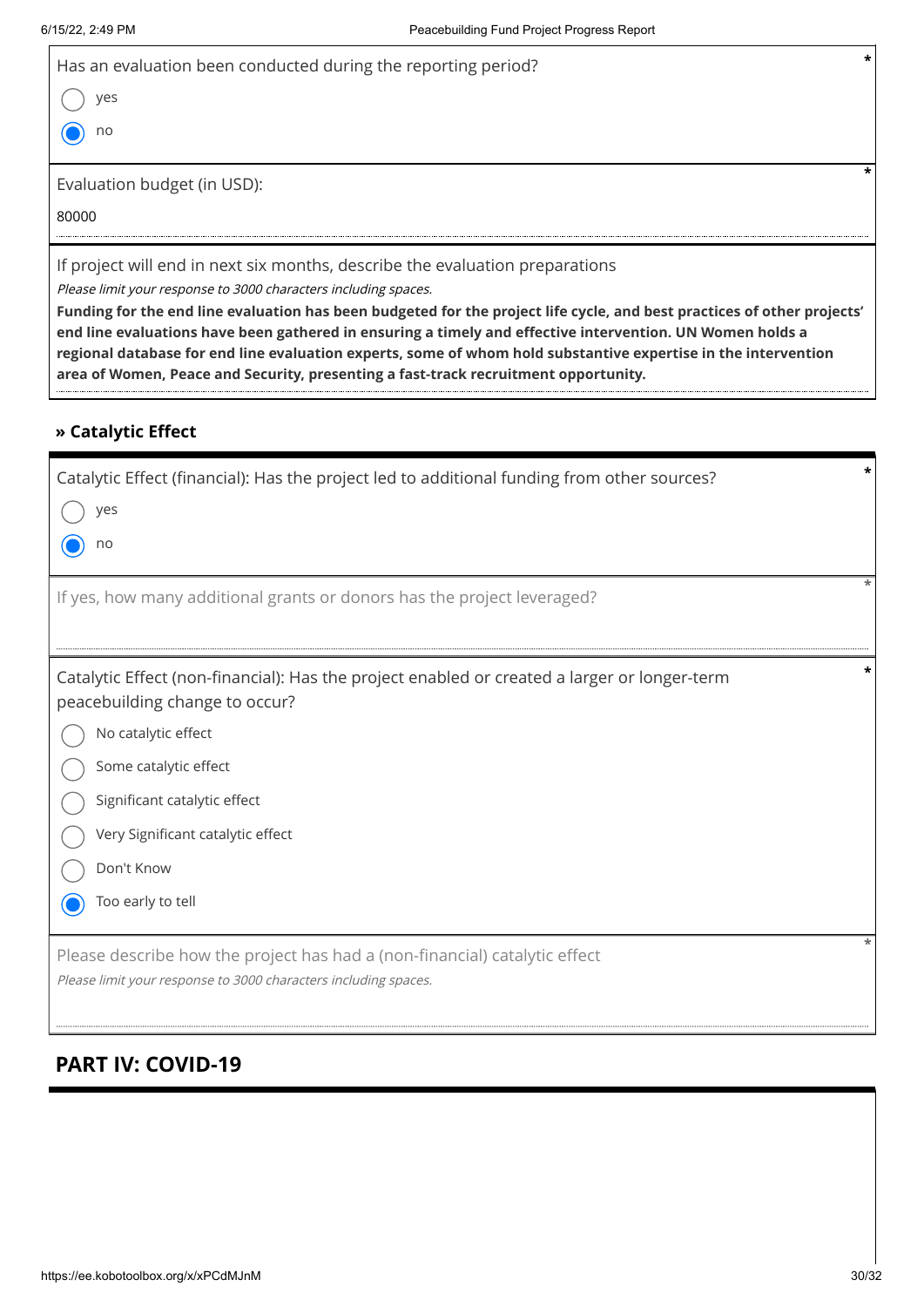| Has an evaluation been conducted during the reporting period?                                                                                                                                                               |
|-----------------------------------------------------------------------------------------------------------------------------------------------------------------------------------------------------------------------------|
| ves                                                                                                                                                                                                                         |
| no                                                                                                                                                                                                                          |
| Evaluation budget (in USD):                                                                                                                                                                                                 |
| 80000                                                                                                                                                                                                                       |
|                                                                                                                                                                                                                             |
| If project will end in next six months, describe the evaluation preparations                                                                                                                                                |
| Please limit your response to 3000 characters including spaces.                                                                                                                                                             |
| Funding for the end line evaluation has been budgeted for the project life cycle, and best practices of other projects'                                                                                                     |
| end line evaluations have been gathered in ensuring a timely and effective intervention. UN Women holds a<br>regional database for end line evaluation experts, some of whom hold substantive expertise in the intervention |

**area of Women, Peace and Security, presenting a fast-track recruitment opportunity.**

#### **» Catalytic Effect**

| Catalytic Effect (financial): Has the project led to additional funding from other sources?  |
|----------------------------------------------------------------------------------------------|
| $\bigcirc$ yes                                                                               |
| $\odot$ no                                                                                   |
| If yes, how many additional grants or donors has the project leveraged?                      |
|                                                                                              |
| Catalytic Effect (non-financial): Has the project enabled or created a larger or longer-term |
| peacebuilding change to occur?                                                               |
| $\bigcirc$ No catalytic effect                                                               |
| $\bigcirc$ Some catalytic effect                                                             |
| Significant catalytic effect<br>( )                                                          |
| Very Significant catalytic effect<br>$(\ )$                                                  |
| O Don't Know                                                                                 |
| ◯ Too early to tell                                                                          |
| Please describe how the project has had a (non-financial) catalytic effect                   |
| Please limit your response to 3000 characters including spaces.                              |
|                                                                                              |
| <b>PART IV: COVID-19</b>                                                                     |
|                                                                                              |
|                                                                                              |
|                                                                                              |
|                                                                                              |

## **PART IV: COVID-19**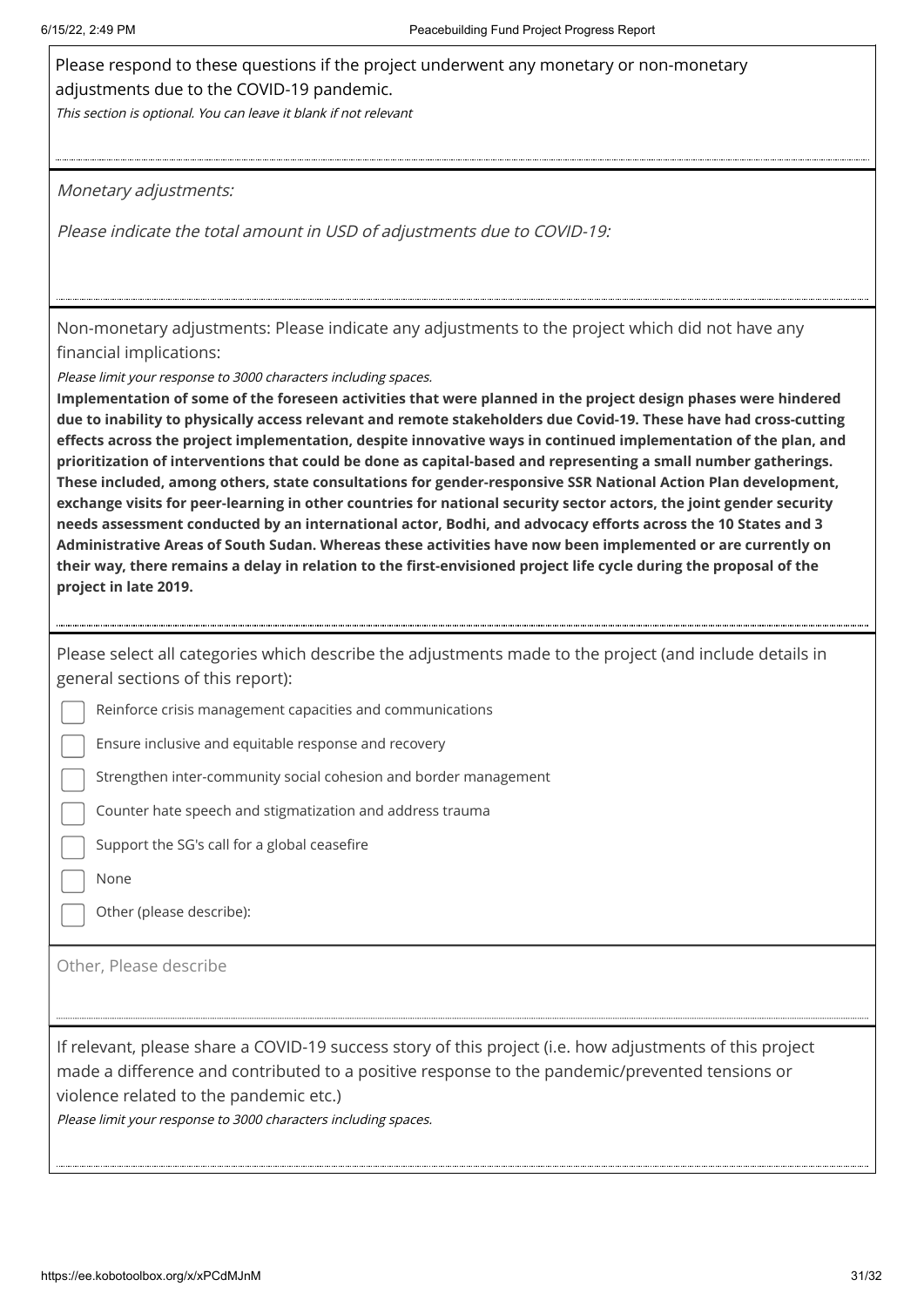| Please respond to these questions if the project underwent any monetary or non-monetary<br>adjustments due to the COVID-19 pandemic.<br>This section is optional. You can leave it blank if not relevant                                                                                                                                                                                                                                                                                                                                                                                                                                                                                                                                                                                                                                                                                                                                                                                                                                                                                                                                                                                                                                                                                         |
|--------------------------------------------------------------------------------------------------------------------------------------------------------------------------------------------------------------------------------------------------------------------------------------------------------------------------------------------------------------------------------------------------------------------------------------------------------------------------------------------------------------------------------------------------------------------------------------------------------------------------------------------------------------------------------------------------------------------------------------------------------------------------------------------------------------------------------------------------------------------------------------------------------------------------------------------------------------------------------------------------------------------------------------------------------------------------------------------------------------------------------------------------------------------------------------------------------------------------------------------------------------------------------------------------|
| Monetary adjustments:                                                                                                                                                                                                                                                                                                                                                                                                                                                                                                                                                                                                                                                                                                                                                                                                                                                                                                                                                                                                                                                                                                                                                                                                                                                                            |
| Please indicate the total amount in USD of adjustments due to COVID-19:                                                                                                                                                                                                                                                                                                                                                                                                                                                                                                                                                                                                                                                                                                                                                                                                                                                                                                                                                                                                                                                                                                                                                                                                                          |
| Non-monetary adjustments: Please indicate any adjustments to the project which did not have any<br>financial implications:<br>Please limit your response to 3000 characters including spaces.<br>Implementation of some of the foreseen activities that were planned in the project design phases were hindered<br>due to inability to physically access relevant and remote stakeholders due Covid-19. These have had cross-cutting<br>effects across the project implementation, despite innovative ways in continued implementation of the plan, and<br>prioritization of interventions that could be done as capital-based and representing a small number gatherings.<br>These included, among others, state consultations for gender-responsive SSR National Action Plan development,<br>exchange visits for peer-learning in other countries for national security sector actors, the joint gender security<br>needs assessment conducted by an international actor, Bodhi, and advocacy efforts across the 10 States and 3<br>Administrative Areas of South Sudan. Whereas these activities have now been implemented or are currently on<br>their way, there remains a delay in relation to the first-envisioned project life cycle during the proposal of the<br>project in late 2019. |
| Please select all categories which describe the adjustments made to the project (and include details in<br>general sections of this report):                                                                                                                                                                                                                                                                                                                                                                                                                                                                                                                                                                                                                                                                                                                                                                                                                                                                                                                                                                                                                                                                                                                                                     |
| Reinforce crisis management capacities and communications                                                                                                                                                                                                                                                                                                                                                                                                                                                                                                                                                                                                                                                                                                                                                                                                                                                                                                                                                                                                                                                                                                                                                                                                                                        |
| Ensure inclusive and equitable response and recovery                                                                                                                                                                                                                                                                                                                                                                                                                                                                                                                                                                                                                                                                                                                                                                                                                                                                                                                                                                                                                                                                                                                                                                                                                                             |
| Strengthen inter-community social cohesion and border management                                                                                                                                                                                                                                                                                                                                                                                                                                                                                                                                                                                                                                                                                                                                                                                                                                                                                                                                                                                                                                                                                                                                                                                                                                 |
| Counter hate speech and stigmatization and address trauma                                                                                                                                                                                                                                                                                                                                                                                                                                                                                                                                                                                                                                                                                                                                                                                                                                                                                                                                                                                                                                                                                                                                                                                                                                        |
| Support the SG's call for a global ceasefire                                                                                                                                                                                                                                                                                                                                                                                                                                                                                                                                                                                                                                                                                                                                                                                                                                                                                                                                                                                                                                                                                                                                                                                                                                                     |
| None                                                                                                                                                                                                                                                                                                                                                                                                                                                                                                                                                                                                                                                                                                                                                                                                                                                                                                                                                                                                                                                                                                                                                                                                                                                                                             |
| Other (please describe):                                                                                                                                                                                                                                                                                                                                                                                                                                                                                                                                                                                                                                                                                                                                                                                                                                                                                                                                                                                                                                                                                                                                                                                                                                                                         |
| Other, Please describe                                                                                                                                                                                                                                                                                                                                                                                                                                                                                                                                                                                                                                                                                                                                                                                                                                                                                                                                                                                                                                                                                                                                                                                                                                                                           |
| If relevant, please share a COVID-19 success story of this project (i.e. how adjustments of this project<br>made a difference and contributed to a positive response to the pandemic/prevented tensions or<br>violence related to the pandemic etc.)<br>Please limit your response to 3000 characters including spaces.                                                                                                                                                                                                                                                                                                                                                                                                                                                                                                                                                                                                                                                                                                                                                                                                                                                                                                                                                                          |

 $\mathsf{l}$